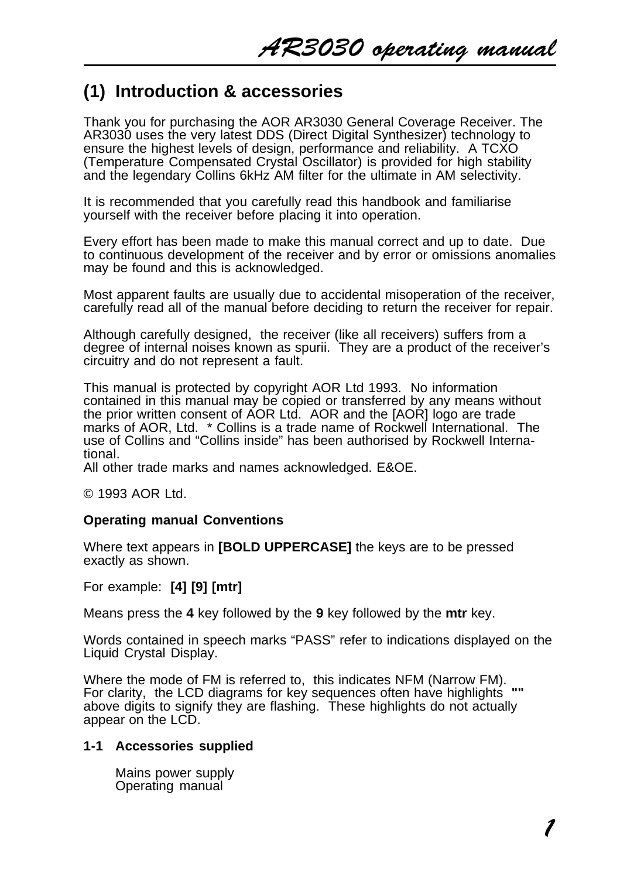# **(1) Introduction & accessories**

Thank you for purchasing the AOR AR3030 General Coverage Receiver. The AR3030 uses the very latest DDS (Direct Digital Synthesizer) technology to ensure the highest levels of design, performance and reliability. A TCXO (Temperature Compensated Crystal Oscillator) is provided for high stability and the legendary Collins 6kHz AM filter for the ultimate in AM selectivity.

It is recommended that you carefully read this handbook and familiarise yourself with the receiver before placing it into operation.

Every effort has been made to make this manual correct and up to date. Due to continuous development of the receiver and by error or omissions anomalies may be found and this is acknowledged.

Most apparent faults are usually due to accidental misoperation of the receiver, carefully read all of the manual before deciding to return the receiver for repair.

Although carefully designed, the receiver (like all receivers) suffers from a degree of internal noises known as spurii. They are a product of the receiver's circuitry and do not represent a fault.

This manual is protected by copyright AOR Ltd 1993. No information contained in this manual may be copied or transferred by any means without the prior written consent of AOR Ltd. AOR and the IAORI logo are trade marks of AOR, Ltd. \* Collins is a trade name of Rockwell International. The use of Collins and "Collins inside" has been authorised by Rockwell International.

All other trade marks and names acknowledged. E&OE.

© 1993 AOR Ltd.

#### **Operating manual Conventions**

Where text appears in **[BOLD UPPERCASE]** the keys are to be pressed exactly as shown.

For example: **[4] [9] [mtr]**

Means press the **4** key followed by the **9** key followed by the **mtr** key.

Words contained in speech marks "PASS" refer to indications displayed on the Liquid Crystal Display.

Where the mode of FM is referred to, this indicates NFM (Narrow FM). For clarity, the LCD diagrams for key sequences often have highlights **""** above digits to signify they are flashing. These highlights do not actually appear on the LCD.

#### **1-1 Accessories supplied**

Mains power supply Operating manual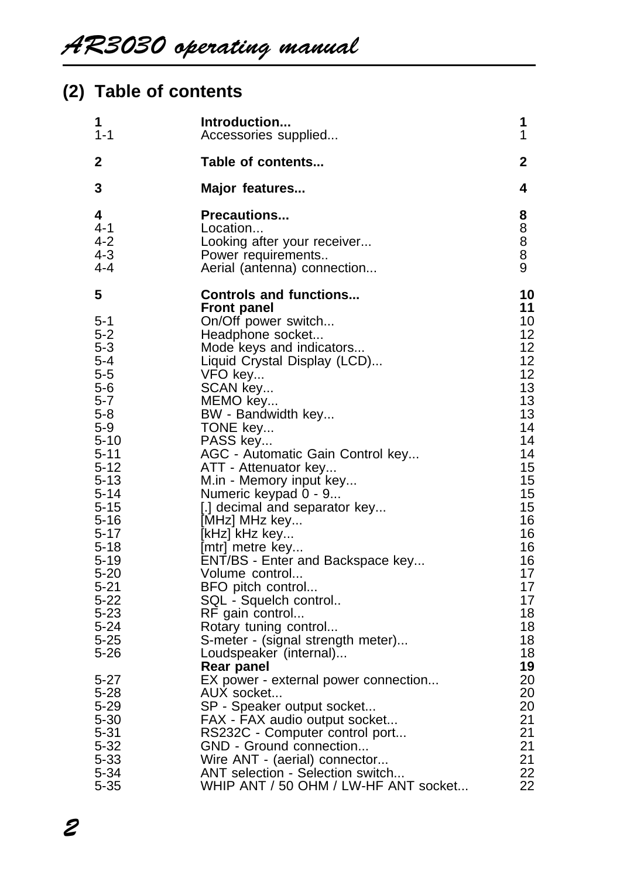# **(2) Table of contents**

| 1                                                                                                                                                                                                                                                                                                      | Introduction                                                                                                                                                                                                                                                                                                                                                                                                                                                                                                                                                                                                                                                                                                                                                                                                                                                                              | 1                                                                                                                                                                                                                    |
|--------------------------------------------------------------------------------------------------------------------------------------------------------------------------------------------------------------------------------------------------------------------------------------------------------|-------------------------------------------------------------------------------------------------------------------------------------------------------------------------------------------------------------------------------------------------------------------------------------------------------------------------------------------------------------------------------------------------------------------------------------------------------------------------------------------------------------------------------------------------------------------------------------------------------------------------------------------------------------------------------------------------------------------------------------------------------------------------------------------------------------------------------------------------------------------------------------------|----------------------------------------------------------------------------------------------------------------------------------------------------------------------------------------------------------------------|
| 1-1                                                                                                                                                                                                                                                                                                    | Accessories supplied                                                                                                                                                                                                                                                                                                                                                                                                                                                                                                                                                                                                                                                                                                                                                                                                                                                                      | 1                                                                                                                                                                                                                    |
| 2                                                                                                                                                                                                                                                                                                      | Table of contents                                                                                                                                                                                                                                                                                                                                                                                                                                                                                                                                                                                                                                                                                                                                                                                                                                                                         | 2                                                                                                                                                                                                                    |
| 3                                                                                                                                                                                                                                                                                                      | Major features                                                                                                                                                                                                                                                                                                                                                                                                                                                                                                                                                                                                                                                                                                                                                                                                                                                                            | 4                                                                                                                                                                                                                    |
| 4                                                                                                                                                                                                                                                                                                      | <b>Precautions</b>                                                                                                                                                                                                                                                                                                                                                                                                                                                                                                                                                                                                                                                                                                                                                                                                                                                                        | 8                                                                                                                                                                                                                    |
| 4-1                                                                                                                                                                                                                                                                                                    | Location                                                                                                                                                                                                                                                                                                                                                                                                                                                                                                                                                                                                                                                                                                                                                                                                                                                                                  | 8                                                                                                                                                                                                                    |
| 4-2                                                                                                                                                                                                                                                                                                    | Looking after your receiver                                                                                                                                                                                                                                                                                                                                                                                                                                                                                                                                                                                                                                                                                                                                                                                                                                                               | 8                                                                                                                                                                                                                    |
| 4-3                                                                                                                                                                                                                                                                                                    | Power requirements                                                                                                                                                                                                                                                                                                                                                                                                                                                                                                                                                                                                                                                                                                                                                                                                                                                                        | 8                                                                                                                                                                                                                    |
| 4-4                                                                                                                                                                                                                                                                                                    | Aerial (antenna) connection                                                                                                                                                                                                                                                                                                                                                                                                                                                                                                                                                                                                                                                                                                                                                                                                                                                               | 9                                                                                                                                                                                                                    |
| 5<br>5-1<br>5-2<br>5-3<br>$5 - 4$<br>$5 - 5$<br>5-6<br>5-7<br>5-8<br>5-9<br>$5 - 10$<br>5-11<br>5-12<br>5-13<br>5-14<br>$5 - 15$<br>5-16<br>5-17<br>$5 - 18$<br>$5 - 19$<br>5-20<br>$5 - 21$<br>$5-22$<br>5-23<br>$5 - 24$<br>$5 - 25$<br>5-26<br>5-27<br>5-28<br>5-29<br>5-30<br>5-31<br>5-32<br>5-33 | <b>Controls and functions</b><br>Front panel<br>On/Off power switch<br>Headphone socket<br>Mode keys and indicators<br>Liquid Crystal Display (LCD)<br>VFO key<br>SCAN key<br>MEMO key<br>BW - Bandwidth key<br>TONE key<br>PASS key<br>AGC - Automatic Gain Control key<br>ATT - Attenuator key<br>M.in - Memory input key<br>Numeric keypad 0 - 9<br>[.] decimal and separator key<br>[MHz] MHz key<br>[kHz] kHz key<br>[mtr] metre key<br>ENT/BS - Enter and Backspace key<br>Volume control<br>BFO pitch control<br>SQL - Squelch control<br>RF gain control<br>Rotary tuning control<br>S-meter - (signal strength meter)<br>Loudspeaker (internal)<br>Rear panel<br>EX power - external power connection<br>AUX socket<br>SP - Speaker output socket<br>FAX - FAX audio output socket<br>RS232C - Computer control port<br>GND - Ground connection<br>Wire ANT - (aerial) connector | 10<br>11<br>10<br>12<br>12<br>12<br>12<br>13<br>13<br>13<br>14<br>14<br>14<br>15<br>15<br>15<br>15<br>16<br>16<br>16<br>16<br>17<br>17<br>17<br>18<br>18<br>18<br>18<br>19<br>20<br>20<br>20<br>21<br>21<br>21<br>21 |
| 5-34                                                                                                                                                                                                                                                                                                   | ANT selection - Selection switch                                                                                                                                                                                                                                                                                                                                                                                                                                                                                                                                                                                                                                                                                                                                                                                                                                                          | 22                                                                                                                                                                                                                   |
| 5-35                                                                                                                                                                                                                                                                                                   | WHIP ANT / 50 OHM / LW-HF ANT socket                                                                                                                                                                                                                                                                                                                                                                                                                                                                                                                                                                                                                                                                                                                                                                                                                                                      | 22                                                                                                                                                                                                                   |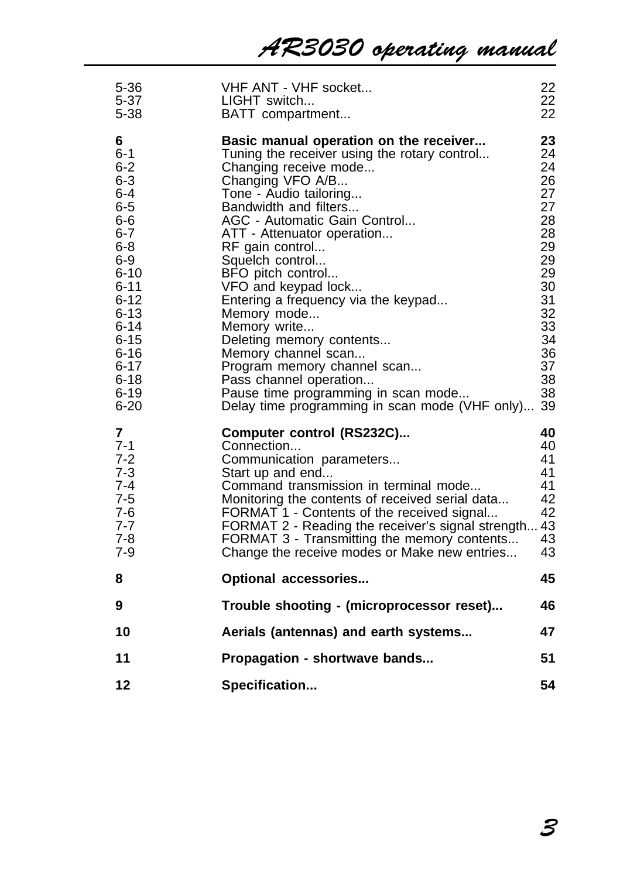| 5-36<br>$5 - 37$<br>$5 - 38$                                                                                                                                                                               | VHF ANT - VHF socket<br>LIGHT switch<br>BATT compartment                                                                                                                                                                                                                                                                                                                                                                                                                                                                                                                                                          | 22<br>22<br>22                                                                                                             |
|------------------------------------------------------------------------------------------------------------------------------------------------------------------------------------------------------------|-------------------------------------------------------------------------------------------------------------------------------------------------------------------------------------------------------------------------------------------------------------------------------------------------------------------------------------------------------------------------------------------------------------------------------------------------------------------------------------------------------------------------------------------------------------------------------------------------------------------|----------------------------------------------------------------------------------------------------------------------------|
| 6<br>$6 - 1$<br>$6 - 2$<br>$6 - 3$<br>6-4<br>6-5<br>$6-6$<br>$6 - 7$<br>$6 - 8$<br>$6 - 9$<br>$6 - 10$<br>6-11<br>$6 - 12$<br>6-13<br>6-14<br>6-15<br>6-16<br>$6 - 17$<br>$6 - 18$<br>$6 - 19$<br>$6 - 20$ | Basic manual operation on the receiver<br>Tuning the receiver using the rotary control<br>Changing receive mode<br>Changing VFO A/B<br>Tone - Audio tailoring<br>Bandwidth and filters<br>AGC - Automatic Gain Control<br>ATT - Attenuator operation<br>RF gain control<br>Squelch control<br>BFO pitch control<br>VFO and keypad lock<br>Entering a frequency via the keypad<br>Memory mode<br>Memory write<br>Deleting memory contents<br>Memory channel scan<br>Program memory channel scan<br>Pass channel operation<br>Pause time programming in scan mode<br>Delay time programming in scan mode (VHF only) | 23<br>24<br>24<br>26<br>27<br>27<br>28<br>28<br>29<br>29<br>29<br>30<br>31<br>32<br>33<br>34<br>36<br>37<br>38<br>38<br>39 |
| 7<br>$7 - 1$<br>7-2<br>7-3<br>7-4<br>$7 - 5$<br>7-6<br>$7 - 7$<br>7-8<br>$7 - 9$                                                                                                                           | Computer control (RS232C)<br>Connection<br>Communication parameters<br>Start up and end<br>Command transmission in terminal mode<br>Monitoring the contents of received serial data<br>FORMAT 1 - Contents of the received signal<br>FORMAT 2 - Reading the receiver's signal strength<br>FORMAT 3 - Transmitting the memory contents<br>Change the receive modes or Make new entries                                                                                                                                                                                                                             | 40<br>40<br>41<br>41<br>41<br>42<br>42<br>43<br>43<br>43                                                                   |
| 8                                                                                                                                                                                                          | Optional accessories                                                                                                                                                                                                                                                                                                                                                                                                                                                                                                                                                                                              | 45                                                                                                                         |
| 9                                                                                                                                                                                                          | Trouble shooting - (microprocessor reset)                                                                                                                                                                                                                                                                                                                                                                                                                                                                                                                                                                         | 46                                                                                                                         |
| 10                                                                                                                                                                                                         | Aerials (antennas) and earth systems                                                                                                                                                                                                                                                                                                                                                                                                                                                                                                                                                                              | 47                                                                                                                         |
| 11                                                                                                                                                                                                         | Propagation - shortwave bands                                                                                                                                                                                                                                                                                                                                                                                                                                                                                                                                                                                     | 51                                                                                                                         |
| 12                                                                                                                                                                                                         | Specification                                                                                                                                                                                                                                                                                                                                                                                                                                                                                                                                                                                                     | 54                                                                                                                         |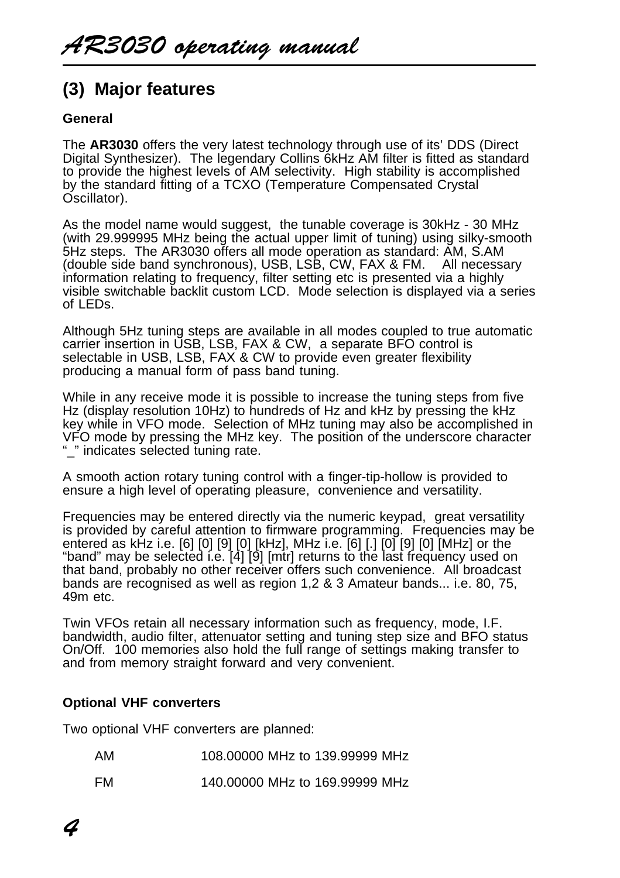# **(3) Major features**

### **General**

The **AR3030** offers the very latest technology through use of its' DDS (Direct Digital Synthesizer). The legendary Collins 6kHz AM filter is fitted as standard to provide the highest levels of AM selectivity. High stability is accomplished by the standard fitting of a TCXO (Temperature Compensated Crystal Oscillator).

As the model name would suggest, the tunable coverage is 30kHz - 30 MHz (with 29.999995 MHz being the actual upper limit of tuning) using silky-smooth 5Hz steps. The AR3030 offers all mode operation as standard: AM, S.AM (double side band synchronous), USB, LSB, CW, FAX & FM. All necessary information relating to frequency, filter setting etc is presented via a highly visible switchable backlit custom LCD. Mode selection is displayed via a series of LEDs.

Although 5Hz tuning steps are available in all modes coupled to true automatic carrier insertion in USB, LSB, FAX & CW, a separate BFO control is selectable in USB, LSB, FAX & CW to provide even greater flexibility producing a manual form of pass band tuning.

While in any receive mode it is possible to increase the tuning steps from five Hz (display resolution 10Hz) to hundreds of Hz and kHz by pressing the kHz key while in VFO mode. Selection of MHz tuning may also be accomplished in VFO mode by pressing the MHz key. The position of the underscore character "\_" indicates selected tuning rate.

A smooth action rotary tuning control with a finger-tip-hollow is provided to ensure a high level of operating pleasure, convenience and versatility.

Frequencies may be entered directly via the numeric keypad, great versatility is provided by careful attention to firmware programming. Frequencies may be entered as kHz i.e. [6] [0] [9] [0] [kHz], MHz i.e. [6] [.] [0] [9] [0] [MHz] or the "band" may be selected i.e. [4] [9] [mtr] returns to the last frequency used on that band, probably no other receiver offers such convenience. All broadcast bands are recognised as well as region 1,2 & 3 Amateur bands... i.e. 80, 75, 49m etc.

Twin VFOs retain all necessary information such as frequency, mode, I.F. bandwidth, audio filter, attenuator setting and tuning step size and BFO status On/Off. 100 memories also hold the full range of settings making transfer to and from memory straight forward and very convenient.

#### **Optional VHF converters**

Two optional VHF converters are planned:

| AM | 108,00000 MHz to 139,99999 MHz |  |  |
|----|--------------------------------|--|--|
|    |                                |  |  |

FM 140.00000 MHz to 169.99999 MHz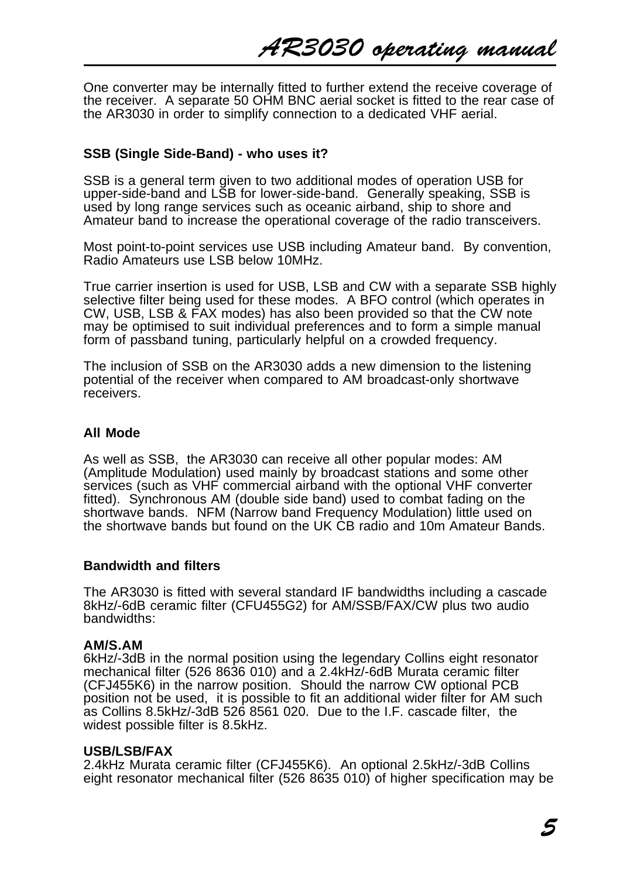One converter may be internally fitted to further extend the receive coverage of the receiver. A separate 50 OHM BNC aerial socket is fitted to the rear case of the AR3030 in order to simplify connection to a dedicated VHF aerial.

#### **SSB (Single Side-Band) - who uses it?**

SSB is a general term given to two additional modes of operation USB for upper-side-band and LSB for lower-side-band. Generally speaking, SSB is used by long range services such as oceanic airband, ship to shore and Amateur band to increase the operational coverage of the radio transceivers.

Most point-to-point services use USB including Amateur band. By convention, Radio Amateurs use LSB below 10MHz.

True carrier insertion is used for USB, LSB and CW with a separate SSB highly selective filter being used for these modes. A BFO control (which operates in CW, USB, LSB & FAX modes) has also been provided so that the CW note may be optimised to suit individual preferences and to form a simple manual form of passband tuning, particularly helpful on a crowded frequency.

The inclusion of SSB on the AR3030 adds a new dimension to the listening potential of the receiver when compared to AM broadcast-only shortwave receivers.

#### **All Mode**

As well as SSB, the AR3030 can receive all other popular modes: AM (Amplitude Modulation) used mainly by broadcast stations and some other services (such as VHF commercial airband with the optional VHF converter fitted). Synchronous AM (double side band) used to combat fading on the shortwave bands. NFM (Narrow band Frequency Modulation) little used on the shortwave bands but found on the UK CB radio and 10m Amateur Bands.

#### **Bandwidth and filters**

The AR3030 is fitted with several standard IF bandwidths including a cascade 8kHz/-6dB ceramic filter (CFU455G2) for AM/SSB/FAX/CW plus two audio bandwidths:

#### **AM/S.AM**

6kHz/-3dB in the normal position using the legendary Collins eight resonator mechanical filter (526 8636 010) and a 2.4kHz/-6dB Murata ceramic filter (CFJ455K6) in the narrow position. Should the narrow CW optional PCB position not be used, it is possible to fit an additional wider filter for AM such as Collins 8.5kHz/-3dB 526 8561 020. Due to the I.F. cascade filter, the widest possible filter is 8.5kHz.

#### **USB/LSB/FAX**

2.4kHz Murata ceramic filter (CFJ455K6). An optional 2.5kHz/-3dB Collins eight resonator mechanical filter (526 8635 010) of higher specification may be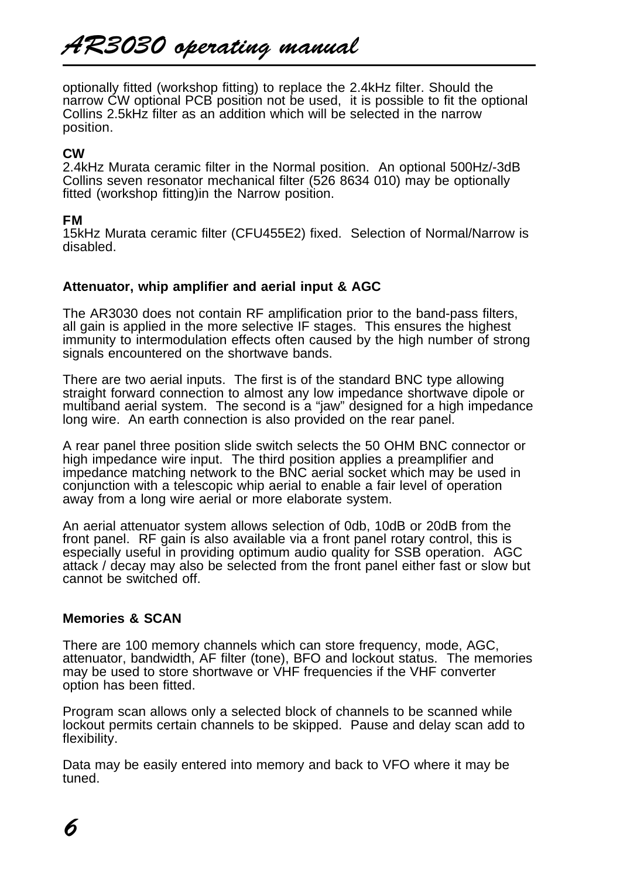optionally fitted (workshop fitting) to replace the 2.4kHz filter. Should the narrow CW optional PCB position not be used, it is possible to fit the optional Collins 2.5kHz filter as an addition which will be selected in the narrow position.

#### **CW**

2.4kHz Murata ceramic filter in the Normal position. An optional 500Hz/-3dB Collins seven resonator mechanical filter (526 8634 010) may be optionally fitted (workshop fitting)in the Narrow position.

#### **FM**

15kHz Murata ceramic filter (CFU455E2) fixed. Selection of Normal/Narrow is disabled.

#### **Attenuator, whip amplifier and aerial input & AGC**

The AR3030 does not contain RF amplification prior to the band-pass filters, all gain is applied in the more selective IF stages. This ensures the highest immunity to intermodulation effects often caused by the high number of strong signals encountered on the shortwave bands.

There are two aerial inputs. The first is of the standard BNC type allowing straight forward connection to almost any low impedance shortwave dipole or multiband aerial system. The second is a "jaw" designed for a high impedance long wire. An earth connection is also provided on the rear panel.

A rear panel three position slide switch selects the 50 OHM BNC connector or high impedance wire input. The third position applies a preamplifier and impedance matching network to the BNC aerial socket which may be used in conjunction with a telescopic whip aerial to enable a fair level of operation away from a long wire aerial or more elaborate system.

An aerial attenuator system allows selection of 0db, 10dB or 20dB from the front panel. RF gain is also available via a front panel rotary control, this is especially useful in providing optimum audio quality for SSB operation. AGC attack / decay may also be selected from the front panel either fast or slow but cannot be switched off.

#### **Memories & SCAN**

There are 100 memory channels which can store frequency, mode, AGC, attenuator, bandwidth, AF filter (tone), BFO and lockout status. The memories may be used to store shortwave or VHF frequencies if the VHF converter option has been fitted.

Program scan allows only a selected block of channels to be scanned while lockout permits certain channels to be skipped. Pause and delay scan add to flexibility.

Data may be easily entered into memory and back to VFO where it may be tuned.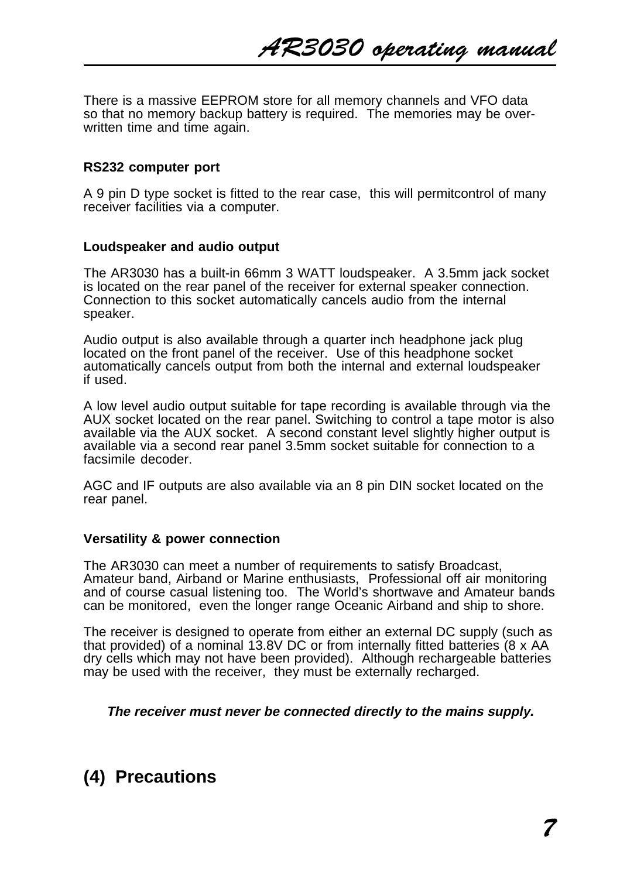There is a massive EEPROM store for all memory channels and VFO data so that no memory backup battery is required. The memories may be overwritten time and time again.

#### **RS232 computer port**

A 9 pin D type socket is fitted to the rear case, this will permitcontrol of many receiver facilities via a computer.

#### **Loudspeaker and audio output**

The AR3030 has a built-in 66mm 3 WATT loudspeaker. A 3.5mm jack socket is located on the rear panel of the receiver for external speaker connection. Connection to this socket automatically cancels audio from the internal speaker.

Audio output is also available through a quarter inch headphone jack plug located on the front panel of the receiver. Use of this headphone socket automatically cancels output from both the internal and external loudspeaker if used.

A low level audio output suitable for tape recording is available through via the AUX socket located on the rear panel. Switching to control a tape motor is also available via the AUX socket. A second constant level slightly higher output is available via a second rear panel 3.5mm socket suitable for connection to a facsimile decoder.

AGC and IF outputs are also available via an 8 pin DIN socket located on the rear panel.

#### **Versatility & power connection**

The AR3030 can meet a number of requirements to satisfy Broadcast, Amateur band, Airband or Marine enthusiasts, Professional off air monitoring and of course casual listening too. The World's shortwave and Amateur bands can be monitored, even the longer range Oceanic Airband and ship to shore.

The receiver is designed to operate from either an external DC supply (such as that provided) of a nominal 13.8V DC or from internally fitted batteries (8 x AA dry cells which may not have been provided). Although rechargeable batteries may be used with the receiver, they must be externally recharged.

#### **The receiver must never be connected directly to the mains supply.**

# **(4) Precautions**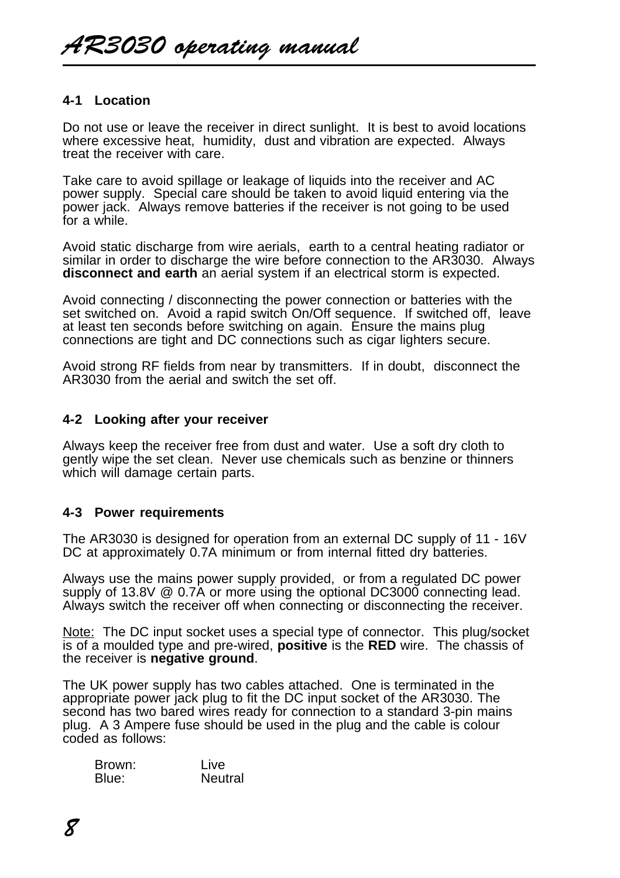#### **4-1 Location**

Do not use or leave the receiver in direct sunlight. It is best to avoid locations where excessive heat, humidity, dust and vibration are expected. Always treat the receiver with care.

Take care to avoid spillage or leakage of liquids into the receiver and AC power supply. Special care should be taken to avoid liquid entering via the power jack. Always remove batteries if the receiver is not going to be used for a while.

Avoid static discharge from wire aerials, earth to a central heating radiator or similar in order to discharge the wire before connection to the AR3030. Always **disconnect and earth** an aerial system if an electrical storm is expected.

Avoid connecting / disconnecting the power connection or batteries with the set switched on. Avoid a rapid switch On/Off sequence. If switched off, leave at least ten seconds before switching on again. Ensure the mains plug connections are tight and DC connections such as cigar lighters secure.

Avoid strong RF fields from near by transmitters. If in doubt, disconnect the AR3030 from the aerial and switch the set off.

#### **4-2 Looking after your receiver**

Always keep the receiver free from dust and water. Use a soft dry cloth to gently wipe the set clean. Never use chemicals such as benzine or thinners which will damage certain parts.

#### **4-3 Power requirements**

The AR3030 is designed for operation from an external DC supply of 11 - 16V DC at approximately 0.7A minimum or from internal fitted dry batteries.

Always use the mains power supply provided, or from a regulated DC power supply of 13.8V @ 0.7A or more using the optional DC3000 connecting lead. Always switch the receiver off when connecting or disconnecting the receiver.

Note: The DC input socket uses a special type of connector. This plug/socket is of a moulded type and pre-wired, **positive** is the **RED** wire. The chassis of the receiver is **negative ground**.

The UK power supply has two cables attached. One is terminated in the appropriate power jack plug to fit the DC input socket of the AR3030. The second has two bared wires ready for connection to a standard 3-pin mains plug. A 3 Ampere fuse should be used in the plug and the cable is colour coded as follows:

| Brown: | Live    |
|--------|---------|
| Blue:  | Neutral |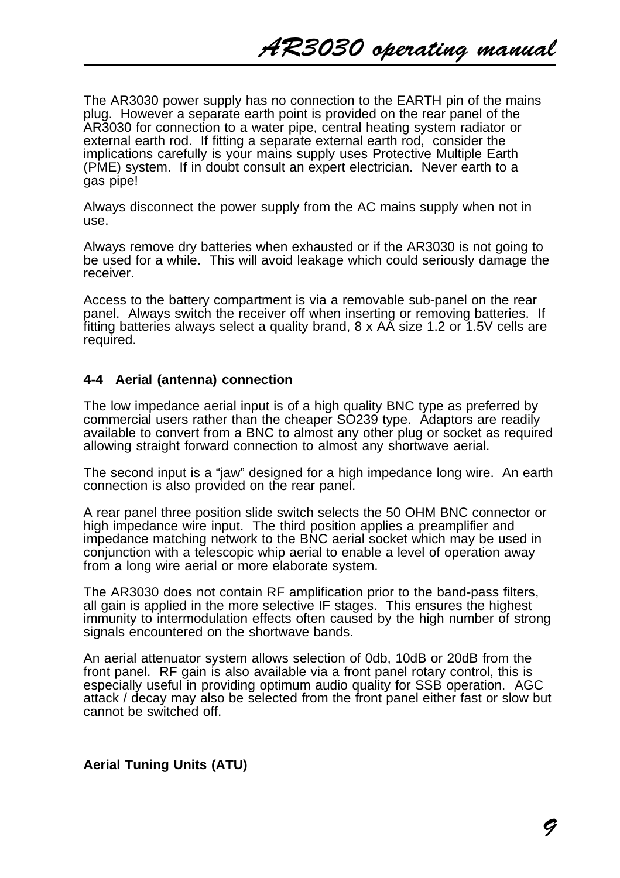The AR3030 power supply has no connection to the EARTH pin of the mains plug. However a separate earth point is provided on the rear panel of the AR3030 for connection to a water pipe, central heating system radiator or external earth rod. If fitting a separate external earth rod, consider the implications carefully is your mains supply uses Protective Multiple Earth (PME) system. If in doubt consult an expert electrician. Never earth to a gas pipe!

Always disconnect the power supply from the AC mains supply when not in use.

Always remove dry batteries when exhausted or if the AR3030 is not going to be used for a while. This will avoid leakage which could seriously damage the receiver.

Access to the battery compartment is via a removable sub-panel on the rear panel. Always switch the receiver off when inserting or removing batteries. If fitting batteries always select a quality brand, 8 x AA size 1.2 or 1.5V cells are required.

#### **4-4 Aerial (antenna) connection**

The low impedance aerial input is of a high quality BNC type as preferred by commercial users rather than the cheaper SO239 type. Adaptors are readily available to convert from a BNC to almost any other plug or socket as required allowing straight forward connection to almost any shortwave aerial.

The second input is a "jaw" designed for a high impedance long wire. An earth connection is also provided on the rear panel.

A rear panel three position slide switch selects the 50 OHM BNC connector or high impedance wire input. The third position applies a preamplifier and impedance matching network to the BNC aerial socket which may be used in conjunction with a telescopic whip aerial to enable a level of operation away from a long wire aerial or more elaborate system.

The AR3030 does not contain RF amplification prior to the band-pass filters, all gain is applied in the more selective IF stages. This ensures the highest immunity to intermodulation effects often caused by the high number of strong signals encountered on the shortwave bands.

An aerial attenuator system allows selection of 0db, 10dB or 20dB from the front panel. RF gain is also available via a front panel rotary control, this is especially useful in providing optimum audio quality for SSB operation. AGC attack / decay may also be selected from the front panel either fast or slow but cannot be switched off.

#### **Aerial Tuning Units (ATU)**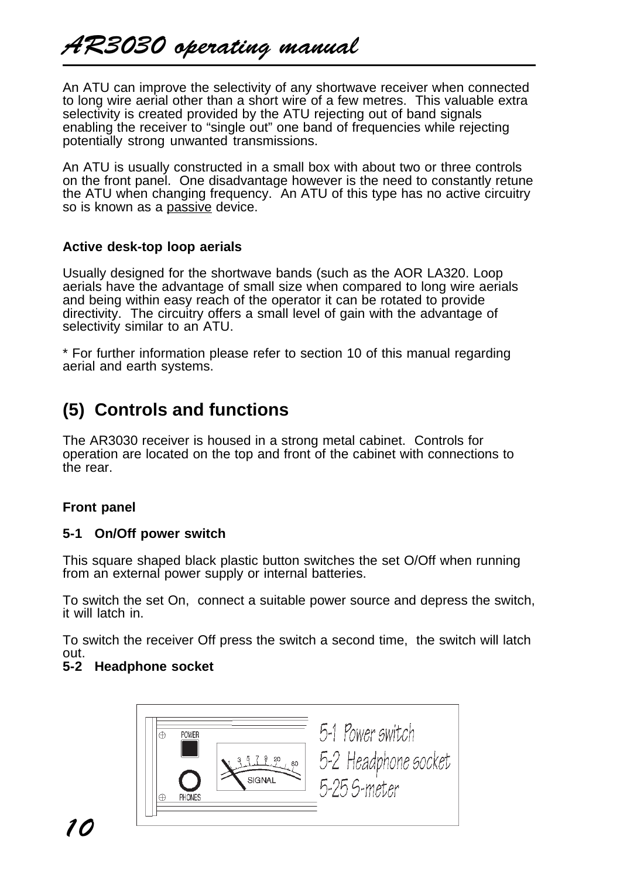An ATU can improve the selectivity of any shortwave receiver when connected to long wire aerial other than a short wire of a few metres. This valuable extra selectivity is created provided by the ATU rejecting out of band signals enabling the receiver to "single out" one band of frequencies while rejecting potentially strong unwanted transmissions.

An ATU is usually constructed in a small box with about two or three controls on the front panel. One disadvantage however is the need to constantly retune the ATU when changing frequency. An ATU of this type has no active circuitry so is known as a passive device.

### **Active desk-top loop aerials**

Usually designed for the shortwave bands (such as the AOR LA320. Loop aerials have the advantage of small size when compared to long wire aerials and being within easy reach of the operator it can be rotated to provide directivity. The circuitry offers a small level of gain with the advantage of selectivity similar to an ATU.

\* For further information please refer to section 10 of this manual regarding aerial and earth systems.

# **(5) Controls and functions**

The AR3030 receiver is housed in a strong metal cabinet. Controls for operation are located on the top and front of the cabinet with connections to the rear.

# **Front panel**

# **5-1 On/Off power switch**

This square shaped black plastic button switches the set O/Off when running from an external power supply or internal batteries.

To switch the set On, connect a suitable power source and depress the switch, it will latch in.

To switch the receiver Off press the switch a second time, the switch will latch out.

# **5-2 Headphone socket**

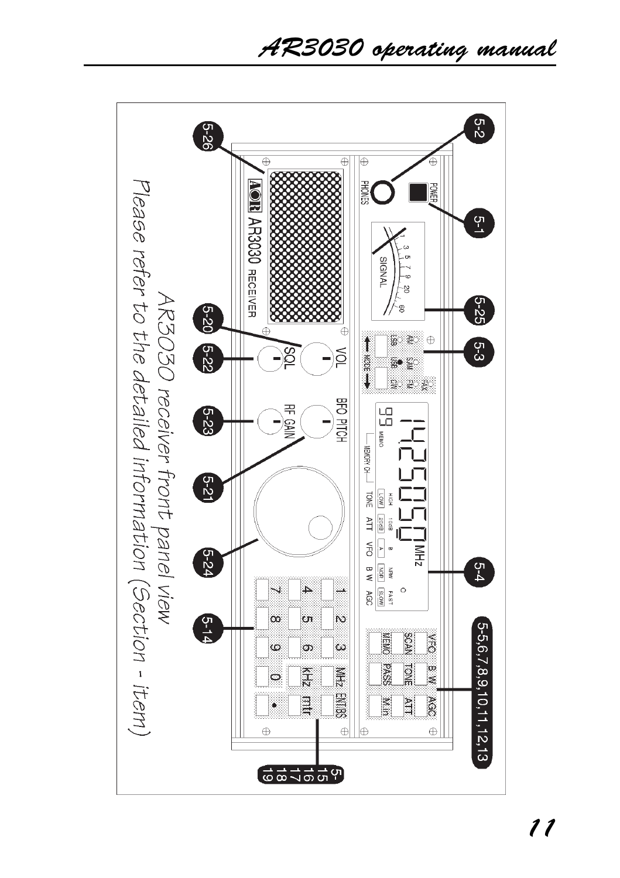AR3030 operating manual

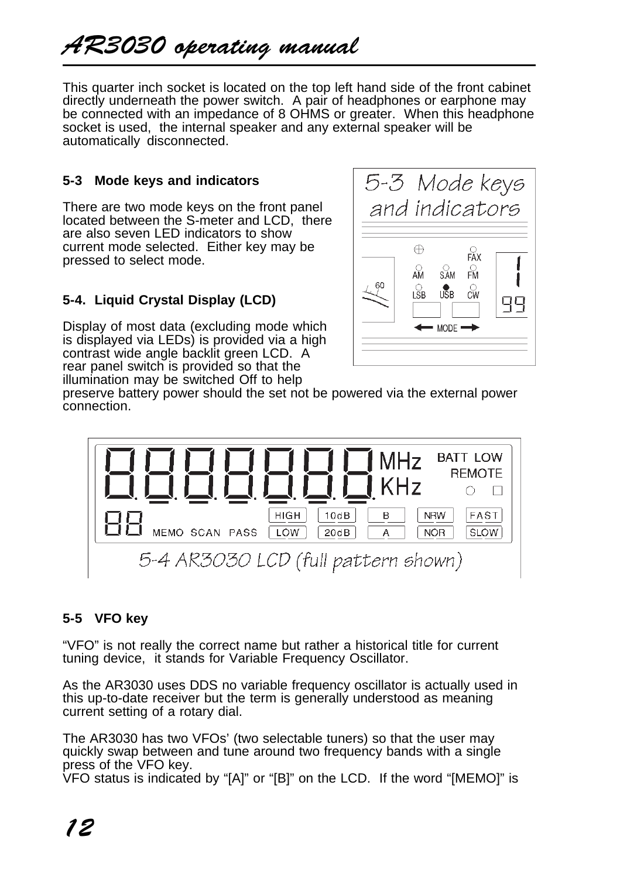This quarter inch socket is located on the top left hand side of the front cabinet directly underneath the power switch. A pair of headphones or earphone may be connected with an impedance of 8 OHMS or greater. When this headphone socket is used, the internal speaker and any external speaker will be automatically disconnected.

# **5-3 Mode keys and indicators**

There are two mode keys on the front panel located between the S-meter and LCD, there are also seven LED indicators to show current mode selected. Either key may be pressed to select mode.

# **5-4. Liquid Crystal Display (LCD)**

Display of most data (excluding mode which is displayed via LEDs) is provided via a high contrast wide angle backlit green LCD. A rear panel switch is provided so that the illumination may be switched Off to help



preserve battery power should the set not be powered via the external power connection.



# **5-5 VFO key**

"VFO" is not really the correct name but rather a historical title for current tuning device, it stands for Variable Frequency Oscillator.

As the AR3030 uses DDS no variable frequency oscillator is actually used in this up-to-date receiver but the term is generally understood as meaning current setting of a rotary dial.

The AR3030 has two VFOs' (two selectable tuners) so that the user may quickly swap between and tune around two frequency bands with a single press of the VFO key.

VFO status is indicated by "[A]" or "[B]" on the LCD. If the word "[MEMO]" is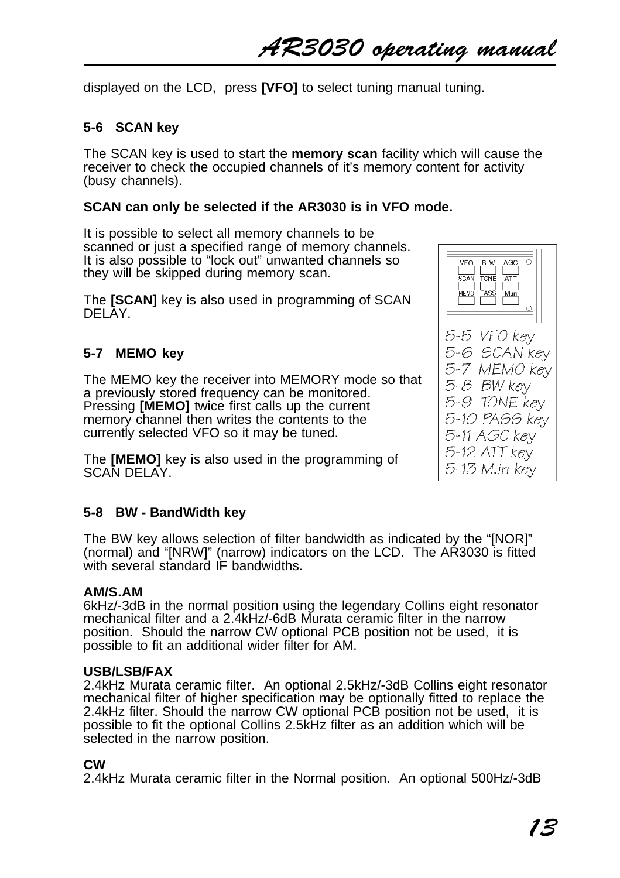AR3030 operating manual

displayed on the LCD, press **[VFO]** to select tuning manual tuning.

# **5-6 SCAN key**

The SCAN key is used to start the **memory scan** facility which will cause the receiver to check the occupied channels of it's memory content for activity (busy channels).

#### **SCAN can only be selected if the AR3030 is in VFO mode.**

It is possible to select all memory channels to be scanned or just a specified range of memory channels. It is also possible to "lock out" unwanted channels so they will be skipped during memory scan.

The **[SCAN]** key is also used in programming of SCAN DELAY.

### **5-7 MEMO key**

The MEMO key the receiver into MEMORY mode so that a previously stored frequency can be monitored. Pressing **[MEMO]** twice first calls up the current memory channel then writes the contents to the currently selected VFO so it may be tuned.

The **[MEMO]** key is also used in the programming of SCAN DELAY.

#### **5-8 BW - BandWidth key**

The BW key allows selection of filter bandwidth as indicated by the "[NOR]" (normal) and "[NRW]" (narrow) indicators on the LCD. The AR3030 is fitted with several standard IF bandwidths.

#### **AM/S.AM**

6kHz/-3dB in the normal position using the legendary Collins eight resonator mechanical filter and a 2.4kHz/-6dB Murata ceramic filter in the narrow position. Should the narrow CW optional PCB position not be used, it is possible to fit an additional wider filter for AM.

#### **USB/LSB/FAX**

2.4kHz Murata ceramic filter. An optional 2.5kHz/-3dB Collins eight resonator mechanical filter of higher specification may be optionally fitted to replace the 2.4kHz filter. Should the narrow CW optional PCB position not be used, it is possible to fit the optional Collins 2.5kHz filter as an addition which will be selected in the narrow position.

#### **CW**

2.4kHz Murata ceramic filter in the Normal position. An optional 500Hz/-3dB



 $5-5$  VFO kev 5-6 SCAN kev 5-7 MEMO kev 5-8 BW kev 5-9 TONE kev 5-10 PASS kev 5-11 AGC kev 5-12 ATT kev 5-13 M.in kev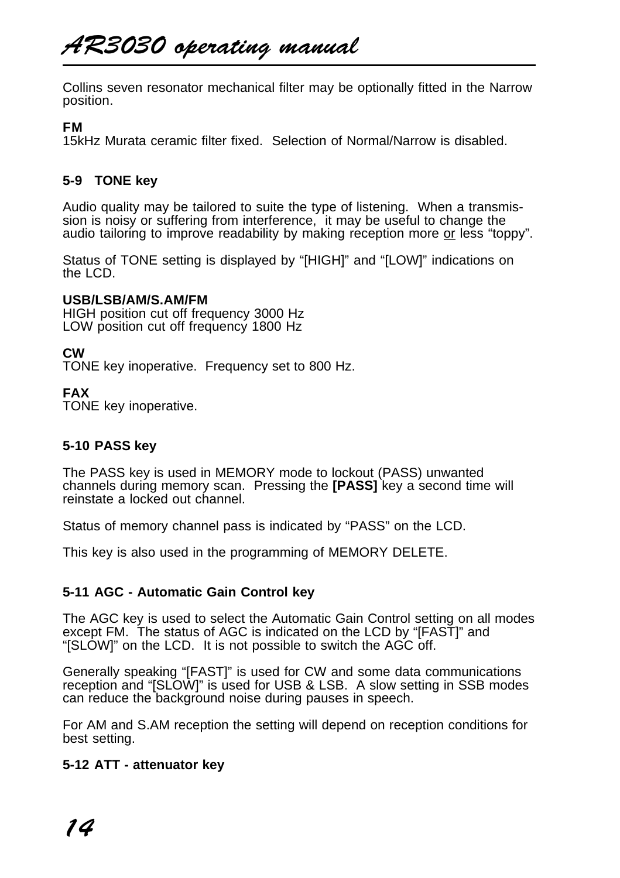# AR3030 operating manual

Collins seven resonator mechanical filter may be optionally fitted in the Narrow position.

#### **FM**

15kHz Murata ceramic filter fixed. Selection of Normal/Narrow is disabled.

# **5-9 TONE key**

Audio quality may be tailored to suite the type of listening. When a transmission is noisy or suffering from interference, it may be useful to change the audio tailoring to improve readability by making reception more or less "toppy".

Status of TONE setting is displayed by "[HIGH]" and "[LOW]" indications on the LCD.

#### **USB/LSB/AM/S.AM/FM**

HIGH position cut off frequency 3000 Hz LOW position cut off frequency 1800 Hz

### **CW**

TONE key inoperative. Frequency set to 800 Hz.

### **FAX**

TONE key inoperative.

# **5-10 PASS key**

The PASS key is used in MEMORY mode to lockout (PASS) unwanted channels during memory scan. Pressing the **[PASS]** key a second time will reinstate a locked out channel.

Status of memory channel pass is indicated by "PASS" on the LCD.

This key is also used in the programming of MEMORY DELETE.

# **5-11 AGC - Automatic Gain Control key**

The AGC key is used to select the Automatic Gain Control setting on all modes except FM. The status of AGC is indicated on the LCD by "[FAST]" and "[SLOW]" on the LCD. It is not possible to switch the AGC off.

Generally speaking "[FAST]" is used for CW and some data communications reception and "[SLOW]" is used for USB & LSB. A slow setting in SSB modes can reduce the background noise during pauses in speech.

For AM and S.AM reception the setting will depend on reception conditions for best setting.

#### **5-12 ATT - attenuator key**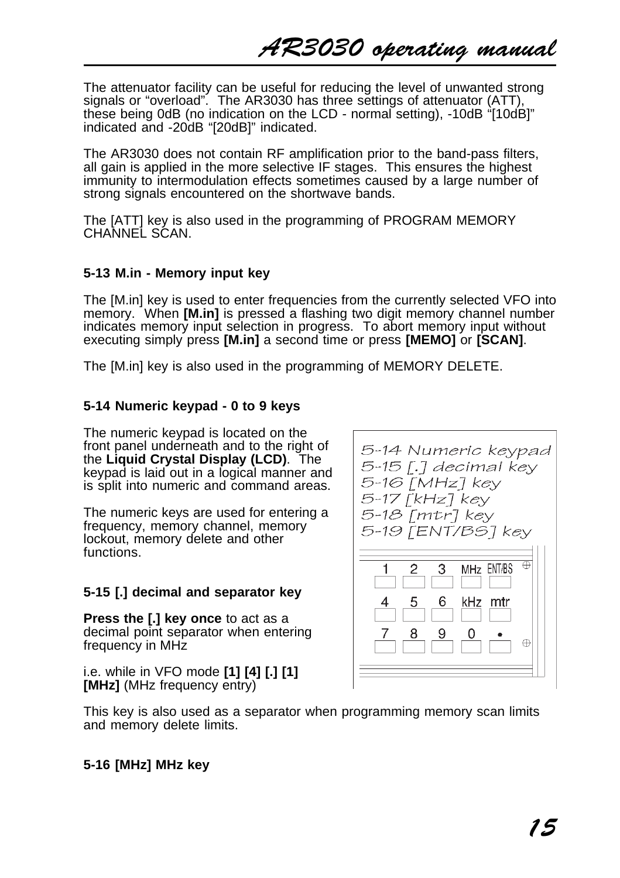The attenuator facility can be useful for reducing the level of unwanted strong signals or "overload". The AR3030 has three settings of attenuator (ATT), these being 0dB (no indication on the LCD - normal setting), -10dB "[10dB]" indicated and -20dB "[20dB]" indicated.

The AR3030 does not contain RF amplification prior to the band-pass filters, all gain is applied in the more selective IF stages. This ensures the highest immunity to intermodulation effects sometimes caused by a large number of strong signals encountered on the shortwave bands.

The [ATT] key is also used in the programming of PROGRAM MEMORY CHANNEL SĆAN.

# **5-13 M.in - Memory input key**

The [M.in] key is used to enter frequencies from the currently selected VFO into memory. When **[M.in]** is pressed a flashing two digit memory channel number indicates memory input selection in progress. To abort memory input without executing simply press **[M.in]** a second time or press **[MEMO]** or **[SCAN]**.

The [M.in] key is also used in the programming of MEMORY DELETE.

# **5-14 Numeric keypad - 0 to 9 keys**

The numeric keypad is located on the front panel underneath and to the right of the **Liquid Crystal Display (LCD)**. The keypad is laid out in a logical manner and is split into numeric and command areas.

The numeric keys are used for entering a frequency, memory channel, memory lockout, memory delete and other functions.

# **5-15 [.] decimal and separator key**

**Press the [.] key once** to act as a decimal point separator when entering frequency in MHz

i.e. while in VFO mode **[1] [4] [.] [1] [MHz]** (MHz frequency entry)



This key is also used as a separator when programming memory scan limits and memory delete limits.

# **5-16 [MHz] MHz key**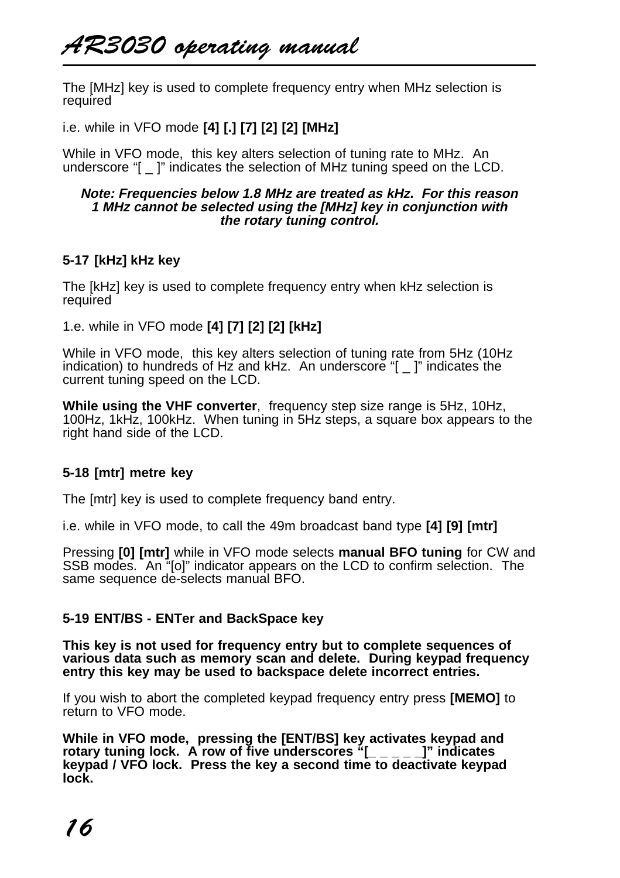The [MHz] key is used to complete frequency entry when MHz selection is required

i.e. while in VFO mode **[4] [.] [7] [2] [2] [MHz]**

While in VFO mode, this key alters selection of tuning rate to MHz. An underscore "[ \_ ]" indicates the selection of MHz tuning speed on the LCD.

#### **Note: Frequencies below 1.8 MHz are treated as kHz. For this reason 1 MHz cannot be selected using the [MHz] key in conjunction with the rotary tuning control.**

# **5-17 [kHz] kHz key**

The [kHz] key is used to complete frequency entry when kHz selection is required

1.e. while in VFO mode **[4] [7] [2] [2] [kHz]**

While in VFO mode, this key alters selection of tuning rate from 5Hz (10Hz indication) to hundreds of Hz and kHz. An underscore "[ \_ ]" indicates the current tuning speed on the LCD.

**While using the VHF converter**, frequency step size range is 5Hz, 10Hz, 100Hz, 1kHz, 100kHz. When tuning in 5Hz steps, a square box appears to the right hand side of the LCD.

# **5-18 [mtr] metre key**

The [mtr] key is used to complete frequency band entry.

i.e. while in VFO mode, to call the 49m broadcast band type **[4] [9] [mtr]**

Pressing **[0] [mtr]** while in VFO mode selects **manual BFO tuning** for CW and SSB modes. An "[o]" indicator appears on the LCD to confirm selection. The same sequence de-selects manual BFO.

#### **5-19 ENT/BS - ENTer and BackSpace key**

**This key is not used for frequency entry but to complete sequences of various data such as memory scan and delete. During keypad frequency entry this key may be used to backspace delete incorrect entries.**

If you wish to abort the completed keypad frequency entry press **[MEMO]** to return to VFO mode.

**While in VFO mode, pressing the [ENT/BS] key activates keypad and rotary tuning lock. A row of five underscores "[\_ \_ \_ \_ \_]" indicates keypad / VFO lock. Press the key a second time to deactivate keypad lock.**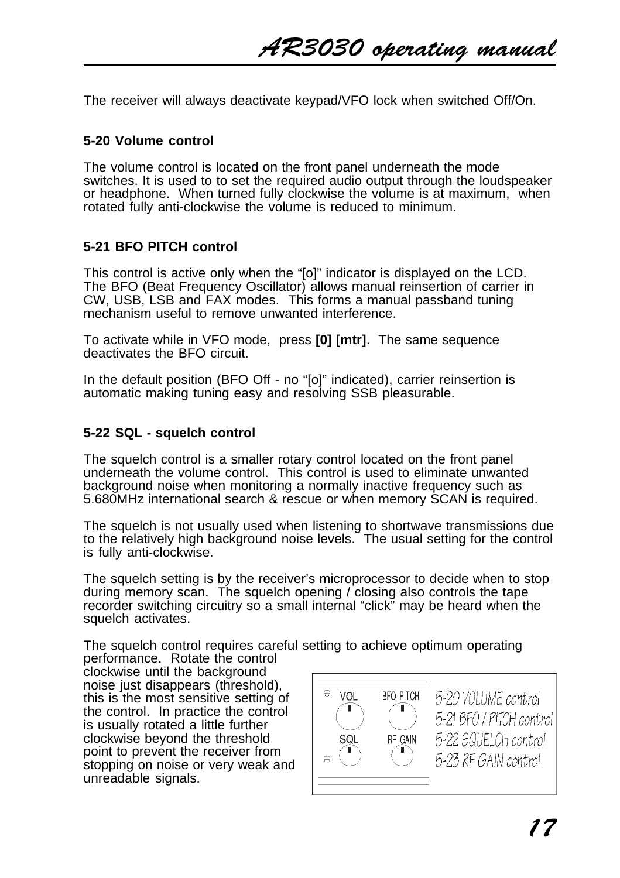The receiver will always deactivate keypad/VFO lock when switched Off/On.

#### **5-20 Volume control**

The volume control is located on the front panel underneath the mode switches. It is used to to set the required audio output through the loudspeaker or headphone. When turned fully clockwise the volume is at maximum, when rotated fully anti-clockwise the volume is reduced to minimum.

### **5-21 BFO PITCH control**

This control is active only when the "[o]" indicator is displayed on the LCD. The BFO (Beat Frequency Oscillator) allows manual reinsertion of carrier in CW, USB, LSB and FAX modes. This forms a manual passband tuning mechanism useful to remove unwanted interference.

To activate while in VFO mode, press **[0] [mtr]**. The same sequence deactivates the BFO circuit.

In the default position (BFO Off - no "[o]" indicated), carrier reinsertion is automatic making tuning easy and resolving SSB pleasurable.

#### **5-22 SQL - squelch control**

The squelch control is a smaller rotary control located on the front panel underneath the volume control. This control is used to eliminate unwanted background noise when monitoring a normally inactive frequency such as 5.680MHz international search & rescue or when memory SCAN is required.

The squelch is not usually used when listening to shortwave transmissions due to the relatively high background noise levels. The usual setting for the control is fully anti-clockwise.

The squelch setting is by the receiver's microprocessor to decide when to stop during memory scan. The squelch opening / closing also controls the tape recorder switching circuitry so a small internal "click" may be heard when the squelch activates.

The squelch control requires careful setting to achieve optimum operating performance. Rotate the control

clockwise until the background noise just disappears (threshold), this is the most sensitive setting of the control. In practice the control is usually rotated a little further clockwise beyond the threshold point to prevent the receiver from stopping on noise or very weak and unreadable signals.

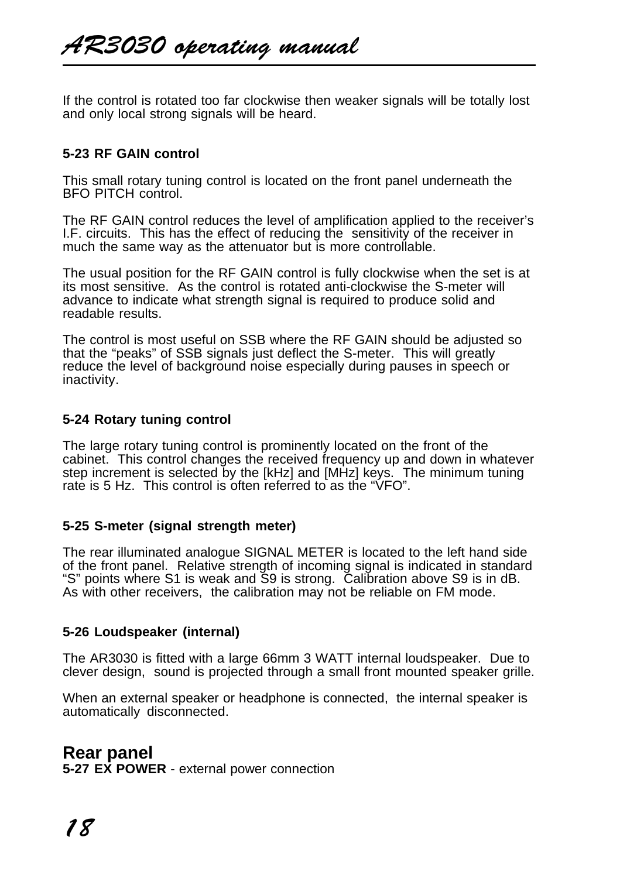If the control is rotated too far clockwise then weaker signals will be totally lost and only local strong signals will be heard.

### **5-23 RF GAIN control**

This small rotary tuning control is located on the front panel underneath the BFO PITCH control.

The RF GAIN control reduces the level of amplification applied to the receiver's I.F. circuits. This has the effect of reducing the sensitivity of the receiver in much the same way as the attenuator but is more controllable.

The usual position for the RF GAIN control is fully clockwise when the set is at its most sensitive. As the control is rotated anti-clockwise the S-meter will advance to indicate what strength signal is required to produce solid and readable results.

The control is most useful on SSB where the RF GAIN should be adjusted so that the "peaks" of SSB signals just deflect the S-meter. This will greatly reduce the level of background noise especially during pauses in speech or inactivity.

#### **5-24 Rotary tuning control**

The large rotary tuning control is prominently located on the front of the cabinet. This control changes the received frequency up and down in whatever step increment is selected by the [kHz] and [MHz] keys. The minimum tuning rate is 5 Hz. This control is often referred to as the "VFO".

#### **5-25 S-meter (signal strength meter)**

The rear illuminated analogue SIGNAL METER is located to the left hand side of the front panel. Relative strength of incoming signal is indicated in standard "S" points where S1 is weak and S9 is strong. Calibration above S9 is in dB. As with other receivers, the calibration may not be reliable on FM mode.

#### **5-26 Loudspeaker (internal)**

The AR3030 is fitted with a large 66mm 3 WATT internal loudspeaker. Due to clever design, sound is projected through a small front mounted speaker grille.

When an external speaker or headphone is connected, the internal speaker is automatically disconnected.

**Rear panel 5-27 EX POWER** - external power connection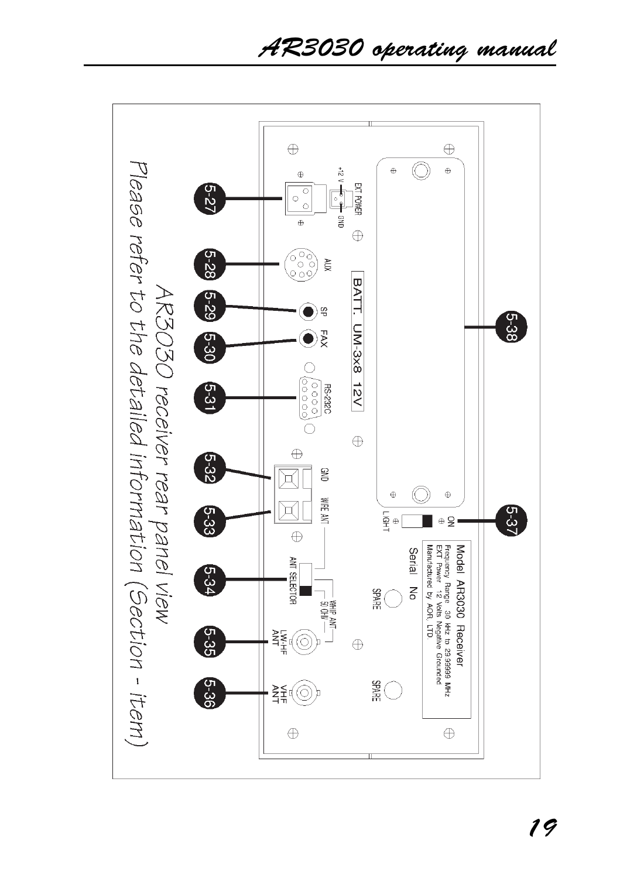AR3030 operating manual

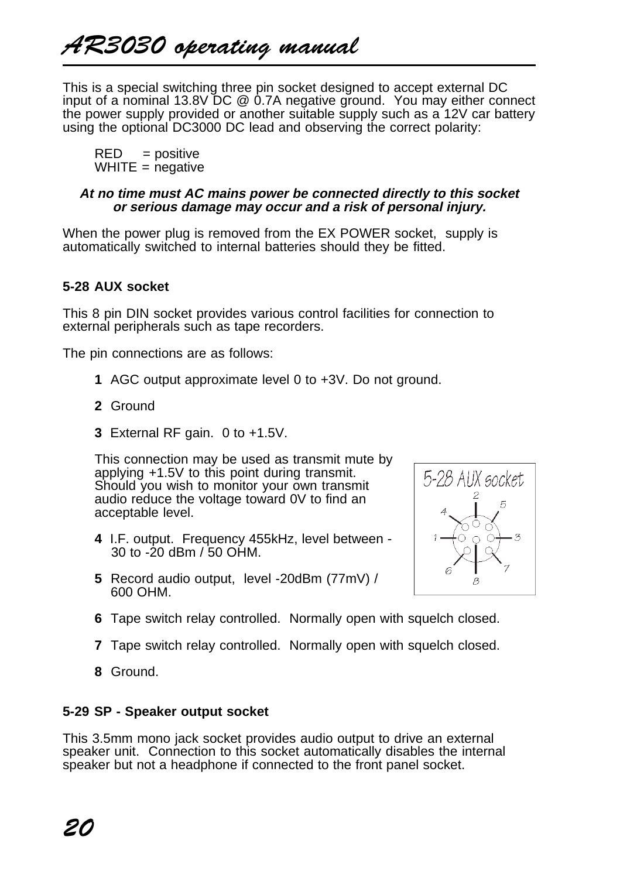This is a special switching three pin socket designed to accept external DC input of a nominal 13.8V DC @ 0.7A negative ground. You may either connect the power supply provided or another suitable supply such as a 12V car battery using the optional DC3000 DC lead and observing the correct polarity:

 $RED = positive$  $WHITE = negative$ 

#### **At no time must AC mains power be connected directly to this socket or serious damage may occur and a risk of personal injury.**

When the power plug is removed from the EX POWER socket, supply is automatically switched to internal batteries should they be fitted.

# **5-28 AUX socket**

This 8 pin DIN socket provides various control facilities for connection to external peripherals such as tape recorders.

The pin connections are as follows:

- **1** AGC output approximate level 0 to +3V. Do not ground.
- **2** Ground
- **3** External RF gain. 0 to +1.5V.

This connection may be used as transmit mute by applying +1.5V to this point during transmit. Should you wish to monitor your own transmit audio reduce the voltage toward 0V to find an acceptable level.

- **4** I.F. output. Frequency 455kHz, level between 30 to -20 dBm / 50 OHM.
- **5** Record audio output, level -20dBm (77mV) / 600 OHM.



- **6** Tape switch relay controlled. Normally open with squelch closed.
- **7** Tape switch relay controlled. Normally open with squelch closed.
- **8** Ground.

#### **5-29 SP - Speaker output socket**

This 3.5mm mono jack socket provides audio output to drive an external speaker unit. Connection to this socket automatically disables the internal speaker but not a headphone if connected to the front panel socket.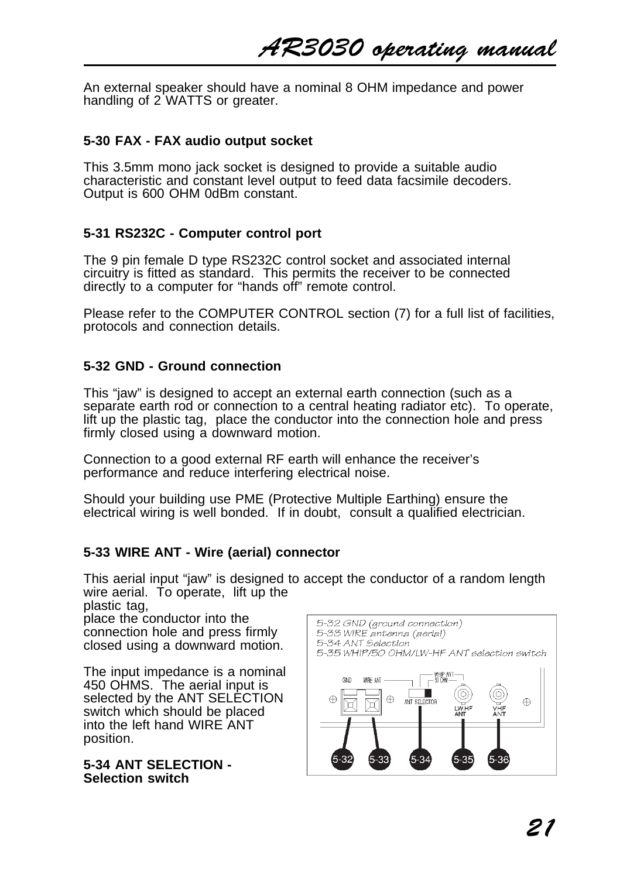An external speaker should have a nominal 8 OHM impedance and power handling of 2 WATTS or greater.

#### **5-30 FAX - FAX audio output socket**

This 3.5mm mono jack socket is designed to provide a suitable audio characteristic and constant level output to feed data facsimile decoders. Output is 600 OHM 0dBm constant.

### **5-31 RS232C - Computer control port**

The 9 pin female D type RS232C control socket and associated internal circuitry is fitted as standard. This permits the receiver to be connected directly to a computer for "hands off" remote control.

Please refer to the COMPUTER CONTROL section (7) for a full list of facilities, protocols and connection details.

# **5-32 GND - Ground connection**

This "jaw" is designed to accept an external earth connection (such as a separate earth rod or connection to a central heating radiator etc). To operate, lift up the plastic tag, place the conductor into the connection hole and press firmly closed using a downward motion.

Connection to a good external RF earth will enhance the receiver's performance and reduce interfering electrical noise.

Should your building use PME (Protective Multiple Earthing) ensure the electrical wiring is well bonded. If in doubt, consult a qualified electrician.

# **5-33 WIRE ANT - Wire (aerial) connector**

This aerial input "jaw" is designed to accept the conductor of a random length wire aerial. To operate, lift up the plastic tag,

place the conductor into the connection hole and press firmly closed using a downward motion.

The input impedance is a nominal 450 OHMS. The aerial input is selected by the ANT SELECTION switch which should be placed into the left hand WIRE ANT position.

**5-34 ANT SELECTION - Selection switch**

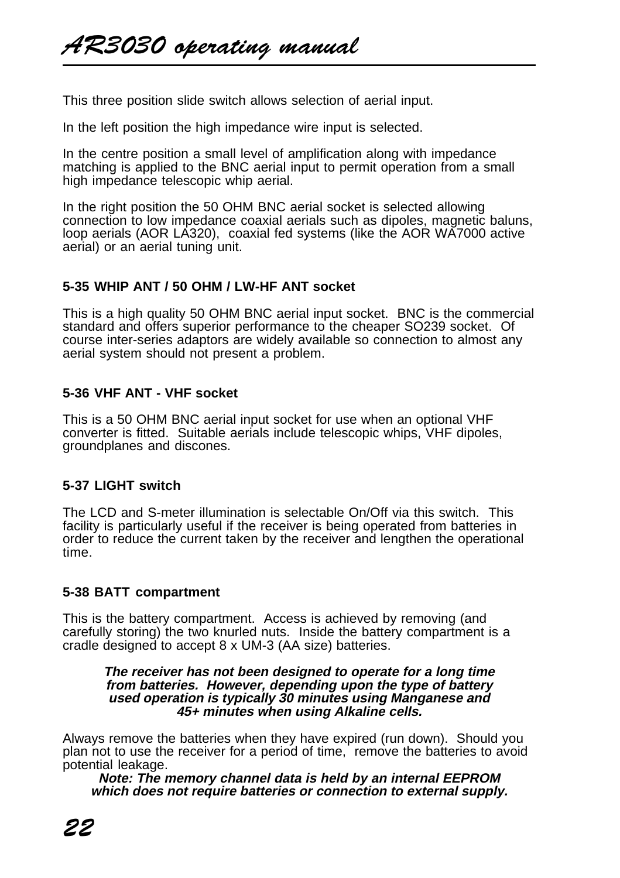This three position slide switch allows selection of aerial input.

In the left position the high impedance wire input is selected.

In the centre position a small level of amplification along with impedance matching is applied to the BNC aerial input to permit operation from a small high impedance telescopic whip aerial.

In the right position the 50 OHM BNC aerial socket is selected allowing connection to low impedance coaxial aerials such as dipoles, magnetic baluns, loop aerials (AOR LA320), coaxial fed systems (like the AOR WA7000 active aerial) or an aerial tuning unit.

#### **5-35 WHIP ANT / 50 OHM / LW-HF ANT socket**

This is a high quality 50 OHM BNC aerial input socket. BNC is the commercial standard and offers superior performance to the cheaper SO239 socket. Of course inter-series adaptors are widely available so connection to almost any aerial system should not present a problem.

### **5-36 VHF ANT - VHF socket**

This is a 50 OHM BNC aerial input socket for use when an optional VHF converter is fitted. Suitable aerials include telescopic whips, VHF dipoles, groundplanes and discones.

#### **5-37 LIGHT switch**

The LCD and S-meter illumination is selectable On/Off via this switch. This facility is particularly useful if the receiver is being operated from batteries in order to reduce the current taken by the receiver and lengthen the operational time.

# **5-38 BATT compartment**

This is the battery compartment. Access is achieved by removing (and carefully storing) the two knurled nuts. Inside the battery compartment is a cradle designed to accept 8 x UM-3 (AA size) batteries.

#### **The receiver has not been designed to operate for a long time from batteries. However, depending upon the type of battery used operation is typically 30 minutes using Manganese and 45+ minutes when using Alkaline cells.**

Always remove the batteries when they have expired (run down). Should you plan not to use the receiver for a period of time, remove the batteries to avoid potential leakage.

**Note: The memory channel data is held by an internal EEPROM which does not require batteries or connection to external supply.**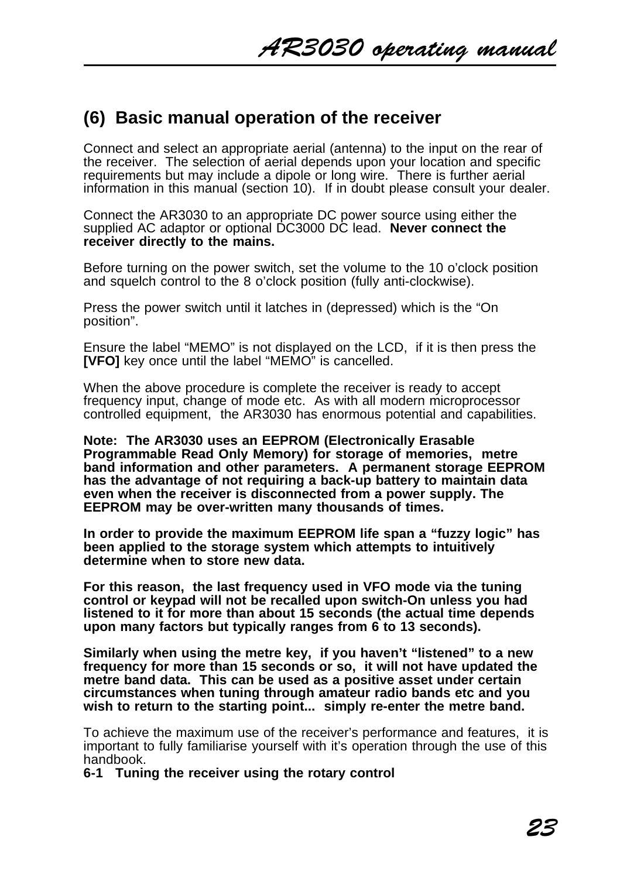# **(6) Basic manual operation of the receiver**

Connect and select an appropriate aerial (antenna) to the input on the rear of the receiver. The selection of aerial depends upon your location and specific requirements but may include a dipole or long wire. There is further aerial information in this manual (section 10). If in doubt please consult your dealer.

Connect the AR3030 to an appropriate DC power source using either the supplied AC adaptor or optional DC3000 DC lead. **Never connect the receiver directly to the mains.**

Before turning on the power switch, set the volume to the 10 o'clock position and squelch control to the 8 o'clock position (fully anti-clockwise).

Press the power switch until it latches in (depressed) which is the "On position".

Ensure the label "MEMO" is not displayed on the LCD, if it is then press the **[VFO]** key once until the label "MEMO" is cancelled.

When the above procedure is complete the receiver is ready to accept frequency input, change of mode etc. As with all modern microprocessor controlled equipment, the AR3030 has enormous potential and capabilities.

**Note: The AR3030 uses an EEPROM (Electronically Erasable Programmable Read Only Memory) for storage of memories, metre band information and other parameters. A permanent storage EEPROM has the advantage of not requiring a back-up battery to maintain data even when the receiver is disconnected from a power supply. The EEPROM may be over-written many thousands of times.**

**In order to provide the maximum EEPROM life span a "fuzzy logic" has been applied to the storage system which attempts to intuitively determine when to store new data.**

**For this reason, the last frequency used in VFO mode via the tuning control or keypad will not be recalled upon switch-On unless you had listened to it for more than about 15 seconds (the actual time depends upon many factors but typically ranges from 6 to 13 seconds).**

**Similarly when using the metre key, if you haven't "listened" to a new frequency for more than 15 seconds or so, it will not have updated the metre band data. This can be used as a positive asset under certain circumstances when tuning through amateur radio bands etc and you wish to return to the starting point... simply re-enter the metre band.**

To achieve the maximum use of the receiver's performance and features, it is important to fully familiarise yourself with it's operation through the use of this handbook.

**6-1 Tuning the receiver using the rotary control**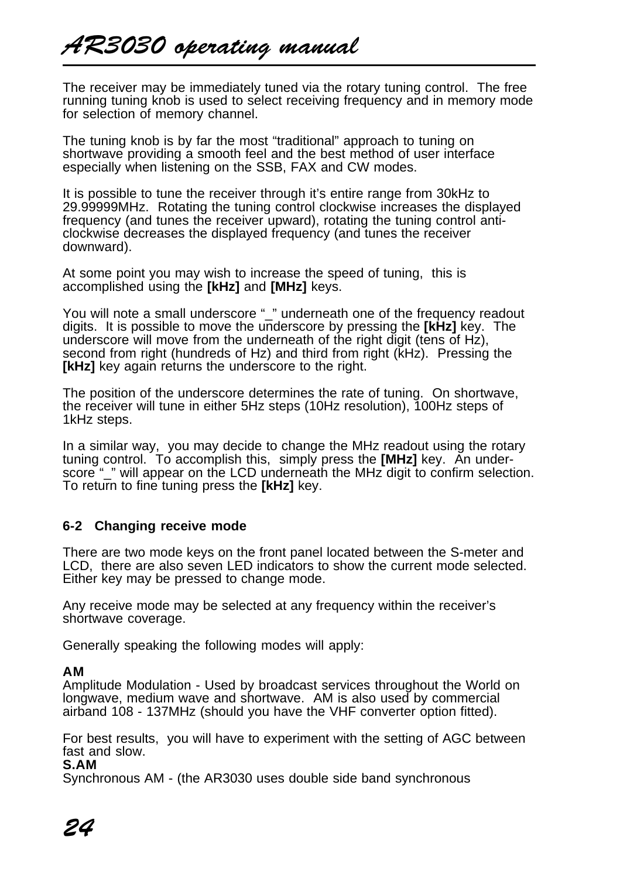The receiver may be immediately tuned via the rotary tuning control. The free running tuning knob is used to select receiving frequency and in memory mode for selection of memory channel.

The tuning knob is by far the most "traditional" approach to tuning on shortwave providing a smooth feel and the best method of user interface especially when listening on the SSB, FAX and CW modes.

It is possible to tune the receiver through it's entire range from 30kHz to 29.99999MHz. Rotating the tuning control clockwise increases the displayed frequency (and tunes the receiver upward), rotating the tuning control anticlockwise decreases the displayed frequency (and tunes the receiver downward).

At some point you may wish to increase the speed of tuning, this is accomplished using the **[kHz]** and **[MHz]** keys.

You will note a small underscore " " underneath one of the frequency readout digits. It is possible to move the underscore by pressing the **[kHz]** key. The underscore will move from the underneath of the right digit (tens of Hz), second from right (hundreds of Hz) and third from right (kHz). Pressing the **[kHz]** key again returns the underscore to the right.

The position of the underscore determines the rate of tuning. On shortwave, the receiver will tune in either 5Hz steps (10Hz resolution), 100Hz steps of 1kHz steps.

In a similar way, you may decide to change the MHz readout using the rotary tuning control. To accomplish this, simply press the **[MHz]** key. An underscore "\_" will appear on the LCD underneath the MHz digit to confirm selection. To return to fine tuning press the **[kHz]** key.

#### **6-2 Changing receive mode**

There are two mode keys on the front panel located between the S-meter and LCD, there are also seven LED indicators to show the current mode selected. Either key may be pressed to change mode.

Any receive mode may be selected at any frequency within the receiver's shortwave coverage.

Generally speaking the following modes will apply:

#### **AM**

Amplitude Modulation - Used by broadcast services throughout the World on longwave, medium wave and shortwave. AM is also used by commercial airband 108 - 137MHz (should you have the VHF converter option fitted).

For best results, you will have to experiment with the setting of AGC between fast and slow.

**S.AM**

Synchronous AM - (the AR3030 uses double side band synchronous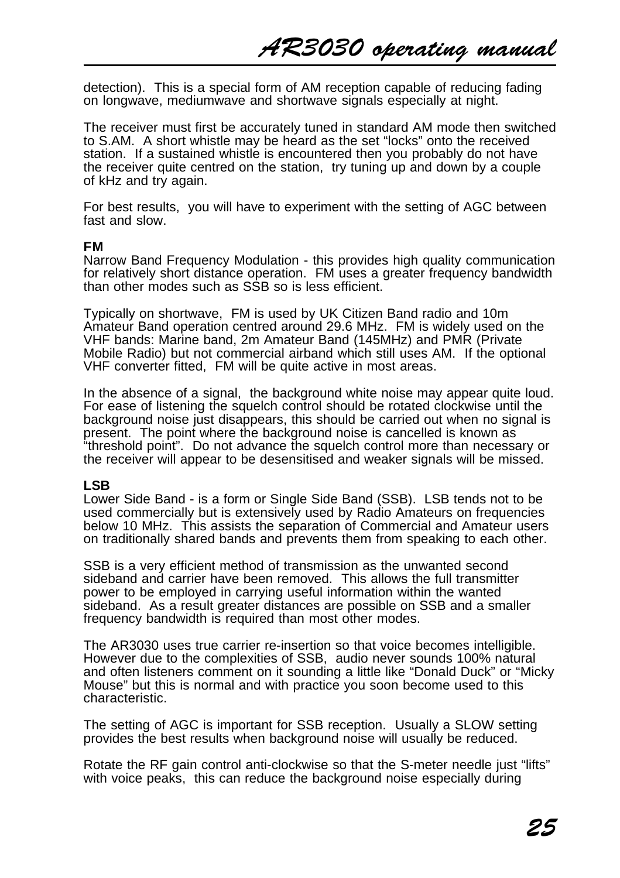detection). This is a special form of AM reception capable of reducing fading on longwave, mediumwave and shortwave signals especially at night.

The receiver must first be accurately tuned in standard AM mode then switched to S.AM. A short whistle may be heard as the set "locks" onto the received station. If a sustained whistle is encountered then you probably do not have the receiver quite centred on the station, try tuning up and down by a couple of kHz and try again.

For best results, you will have to experiment with the setting of AGC between fast and slow.

#### **FM**

Narrow Band Frequency Modulation - this provides high quality communication for relatively short distance operation. FM uses a greater frequency bandwidth than other modes such as SSB so is less efficient.

Typically on shortwave, FM is used by UK Citizen Band radio and 10m Amateur Band operation centred around 29.6 MHz. FM is widely used on the VHF bands: Marine band, 2m Amateur Band (145MHz) and PMR (Private Mobile Radio) but not commercial airband which still uses AM. If the optional VHF converter fitted. FM will be quite active in most areas.

In the absence of a signal, the background white noise may appear quite loud. For ease of listening the squelch control should be rotated clockwise until the background noise just disappears, this should be carried out when no signal is present. The point where the background noise is cancelled is known as "threshold point". Do not advance the squelch control more than necessary or the receiver will appear to be desensitised and weaker signals will be missed.

#### **LSB**

Lower Side Band - is a form or Single Side Band (SSB). LSB tends not to be used commercially but is extensively used by Radio Amateurs on frequencies below 10 MHz. This assists the separation of Commercial and Amateur users on traditionally shared bands and prevents them from speaking to each other.

SSB is a very efficient method of transmission as the unwanted second sideband and carrier have been removed. This allows the full transmitter power to be employed in carrying useful information within the wanted sideband. As a result greater distances are possible on SSB and a smaller frequency bandwidth is required than most other modes.

The AR3030 uses true carrier re-insertion so that voice becomes intelligible. However due to the complexities of SSB, audio never sounds 100% natural and often listeners comment on it sounding a little like "Donald Duck" or "Micky Mouse" but this is normal and with practice you soon become used to this characteristic.

The setting of AGC is important for SSB reception. Usually a SLOW setting provides the best results when background noise will usually be reduced.

Rotate the RF gain control anti-clockwise so that the S-meter needle just "lifts" with voice peaks, this can reduce the background noise especially during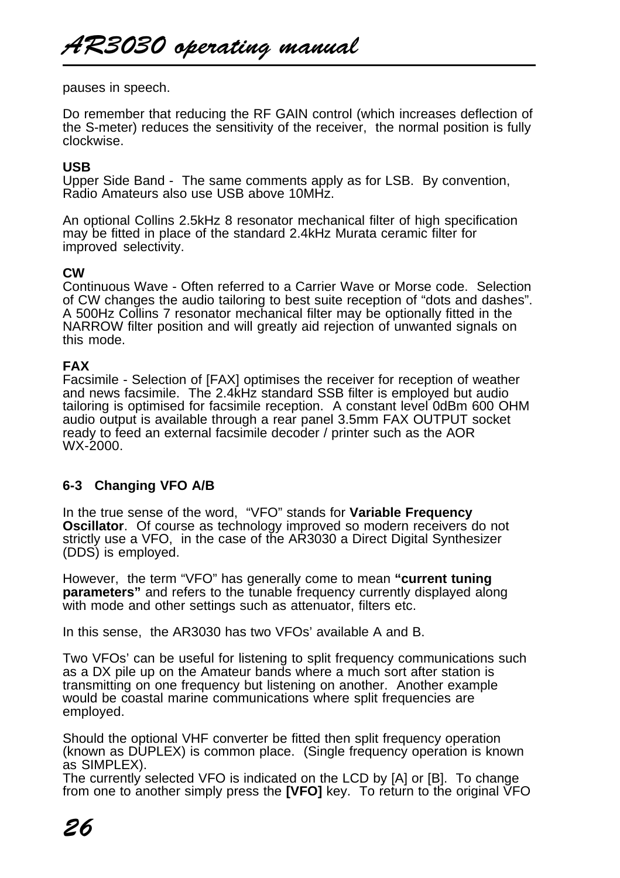pauses in speech.

Do remember that reducing the RF GAIN control (which increases deflection of the S-meter) reduces the sensitivity of the receiver, the normal position is fully clockwise.

#### **USB**

Upper Side Band - The same comments apply as for LSB. By convention, Radio Amateurs also use USB above 10MHz.

An optional Collins 2.5kHz 8 resonator mechanical filter of high specification may be fitted in place of the standard 2.4kHz Murata ceramic filter for improved selectivity.

#### **CW**

Continuous Wave - Often referred to a Carrier Wave or Morse code. Selection of CW changes the audio tailoring to best suite reception of "dots and dashes". A 500Hz Collins 7 resonator mechanical filter may be optionally fitted in the NARROW filter position and will greatly aid rejection of unwanted signals on this mode.

#### **FAX**

Facsimile - Selection of [FAX] optimises the receiver for reception of weather and news facsimile. The 2.4kHz standard SSB filter is employed but audio tailoring is optimised for facsimile reception. A constant level 0dBm 600 OHM audio output is available through a rear panel 3.5mm FAX OUTPUT socket ready to feed an external facsimile decoder / printer such as the AOR WX-2000.

# **6-3 Changing VFO A/B**

In the true sense of the word, "VFO" stands for **Variable Frequency Oscillator**. Of course as technology improved so modern receivers do not strictly use a VFO, in the case of the AR3030 a Direct Digital Synthesizer (DDS) is employed.

However, the term "VFO" has generally come to mean **"current tuning parameters**" and refers to the tunable frequency currently displayed along with mode and other settings such as attenuator, filters etc.

In this sense, the AR3030 has two VFOs' available A and B.

Two VFOs' can be useful for listening to split frequency communications such as a DX pile up on the Amateur bands where a much sort after station is transmitting on one frequency but listening on another. Another example would be coastal marine communications where split frequencies are employed.

Should the optional VHF converter be fitted then split frequency operation (known as DUPLEX) is common place. (Single frequency operation is known as SIMPLEX).

The currently selected VFO is indicated on the LCD by [A] or [B]. To change from one to another simply press the **[VFO]** key. To return to the original VFO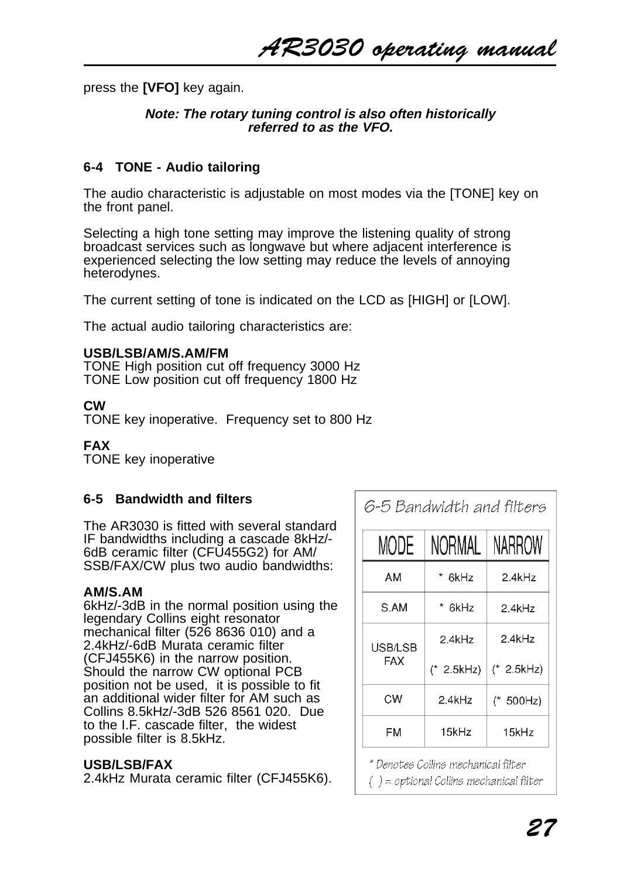press the **[VFO]** key again.

#### **Note: The rotary tuning control is also often historically referred to as the VFO.**

### **6-4 TONE - Audio tailoring**

The audio characteristic is adjustable on most modes via the [TONE] key on the front panel.

Selecting a high tone setting may improve the listening quality of strong broadcast services such as longwave but where adjacent interference is experienced selecting the low setting may reduce the levels of annoying heterodynes.

The current setting of tone is indicated on the LCD as [HIGH] or [LOW].

The actual audio tailoring characteristics are:

#### **USB/LSB/AM/S.AM/FM**

TONE High position cut off frequency 3000 Hz TONE Low position cut off frequency 1800 Hz

#### **CW**

TONE key inoperative. Frequency set to 800 Hz

#### **FAX**

TONE key inoperative

#### **6-5 Bandwidth and filters**

The AR3030 is fitted with several standard IF bandwidths including a cascade 8kHz/- 6dB ceramic filter (CFU455G2) for AM/ SSB/FAX/CW plus two audio bandwidths:

#### **AM/S.AM**

6kHz/-3dB in the normal position using the legendary Collins eight resonator mechanical filter (526 8636 010) and a 2.4kHz/-6dB Murata ceramic filter (CFJ455K6) in the narrow position. Should the narrow CW optional PCB position not be used, it is possible to fit an additional wider filter for AM such as Collins 8.5kHz/-3dB 526 8561 020. Due to the I.F. cascade filter, the widest possible filter is 8.5kHz.

#### **USB/LSB/FAX**

2.4kHz Murata ceramic filter (CFJ455K6).

6-5 Bandwidth and filters

| MODE       | NORMAL       | NARROW       |
|------------|--------------|--------------|
| AM         | * 6kHz       | 2.4kHz       |
| S.AM       | * 6kHz       | 2 4kHz       |
| USB/LSB    | 2.4kHz       | 24kHz        |
| <b>FAX</b> | $(* 2.5kHz)$ | $(* 2.5kHz)$ |
| CW         | $2.4$ k $Hz$ | $(* 500Hz)$  |
| FM         | 15kHz        | 15kHz        |

\* Denotes Collins mechanical filter

 $( )$  = optional Collins mechanical filter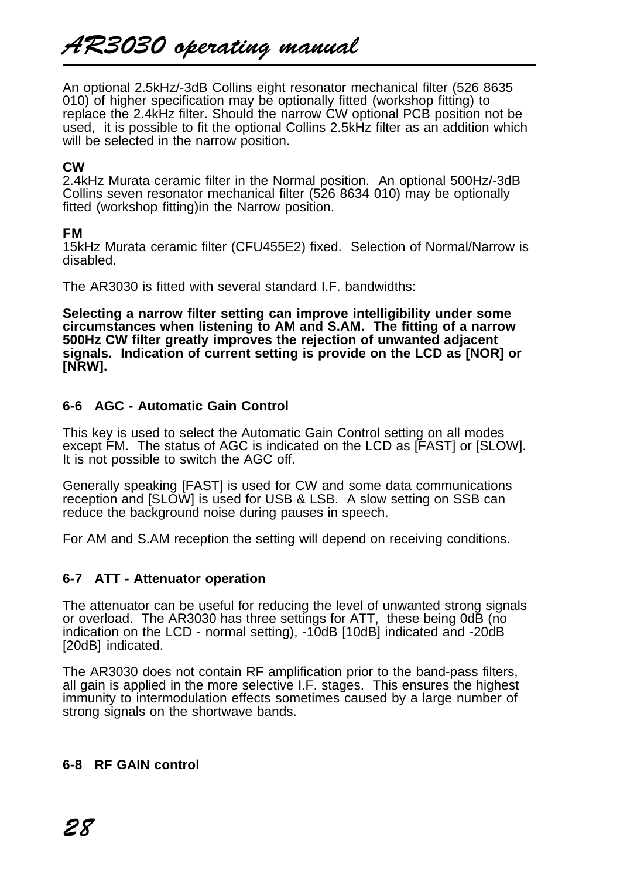An optional 2.5kHz/-3dB Collins eight resonator mechanical filter (526 8635 010) of higher specification may be optionally fitted (workshop fitting) to replace the 2.4kHz filter. Should the narrow CW optional PCB position not be used, it is possible to fit the optional Collins 2.5kHz filter as an addition which will be selected in the narrow position.

### **CW**

2.4kHz Murata ceramic filter in the Normal position. An optional 500Hz/-3dB Collins seven resonator mechanical filter (526 8634 010) may be optionally fitted (workshop fitting)in the Narrow position.

#### **FM**

15kHz Murata ceramic filter (CFU455E2) fixed. Selection of Normal/Narrow is disabled.

The AR3030 is fitted with several standard LF handwidths:

**Selecting a narrow filter setting can improve intelligibility under some circumstances when listening to AM and S.AM. The fitting of a narrow 500Hz CW filter greatly improves the rejection of unwanted adjacent signals. Indication of current setting is provide on the LCD as [NOR] or [NRW].**

# **6-6 AGC - Automatic Gain Control**

This key is used to select the Automatic Gain Control setting on all modes except FM. The status of AGC is indicated on the LCD as [FAST] or [SLOW]. It is not possible to switch the AGC off.

Generally speaking [FAST] is used for CW and some data communications reception and [SLOW] is used for USB & LSB. A slow setting on SSB can reduce the background noise during pauses in speech.

For AM and S.AM reception the setting will depend on receiving conditions.

#### **6-7 ATT - Attenuator operation**

The attenuator can be useful for reducing the level of unwanted strong signals or overload. The AR3030 has three settings for ATT, these being 0dB (no indication on the LCD - normal setting), -10dB [10dB] indicated and -20dB [20dB] indicated.

The AR3030 does not contain RF amplification prior to the band-pass filters, all gain is applied in the more selective I.F. stages. This ensures the highest immunity to intermodulation effects sometimes caused by a large number of strong signals on the shortwave bands.

# **6-8 RF GAIN control**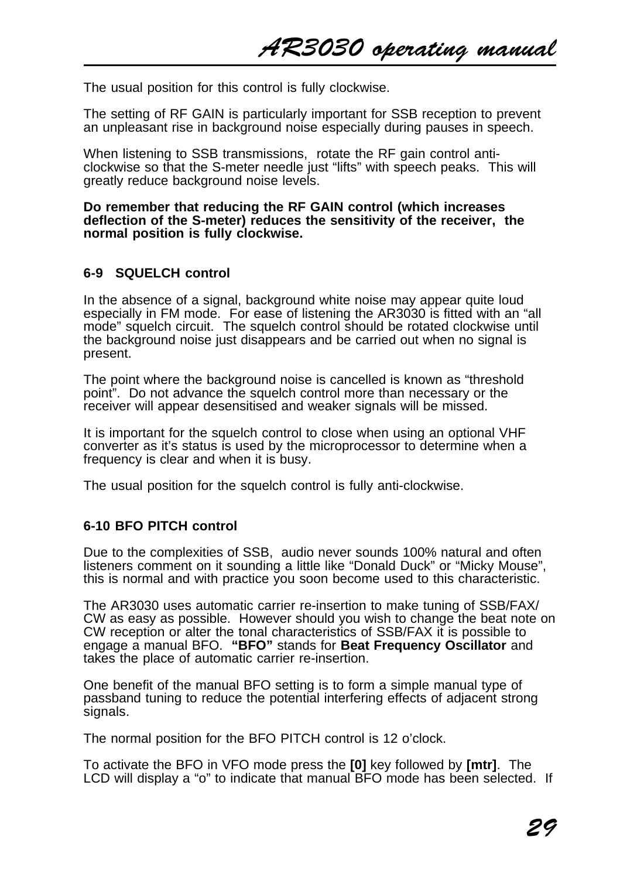The usual position for this control is fully clockwise.

The setting of RF GAIN is particularly important for SSB reception to prevent an unpleasant rise in background noise especially during pauses in speech.

When listening to SSB transmissions, rotate the RF gain control anticlockwise so that the S-meter needle just "lifts" with speech peaks. This will greatly reduce background noise levels.

**Do remember that reducing the RF GAIN control (which increases deflection of the S-meter) reduces the sensitivity of the receiver, the normal position is fully clockwise.**

#### **6-9 SQUELCH control**

In the absence of a signal, background white noise may appear quite loud especially in FM mode. For ease of listening the AR3030 is fitted with an "all mode" squelch circuit. The squelch control should be rotated clockwise until the background noise just disappears and be carried out when no signal is present.

The point where the background noise is cancelled is known as "threshold point". Do not advance the squelch control more than necessary or the receiver will appear desensitised and weaker signals will be missed.

It is important for the squelch control to close when using an optional VHF converter as it's status is used by the microprocessor to determine when a frequency is clear and when it is busy.

The usual position for the squelch control is fully anti-clockwise.

#### **6-10 BFO PITCH control**

Due to the complexities of SSB, audio never sounds 100% natural and often listeners comment on it sounding a little like "Donald Duck" or "Micky Mouse", this is normal and with practice you soon become used to this characteristic.

The AR3030 uses automatic carrier re-insertion to make tuning of SSB/FAX/ CW as easy as possible. However should you wish to change the beat note on CW reception or alter the tonal characteristics of SSB/FAX it is possible to engage a manual BFO. **"BFO"** stands for **Beat Frequency Oscillator** and takes the place of automatic carrier re-insertion.

One benefit of the manual BFO setting is to form a simple manual type of passband tuning to reduce the potential interfering effects of adjacent strong signals.

The normal position for the BFO PITCH control is 12 o'clock.

To activate the BFO in VFO mode press the **[0]** key followed by **[mtr]**. The LCD will display a "o" to indicate that manual BFO mode has been selected. If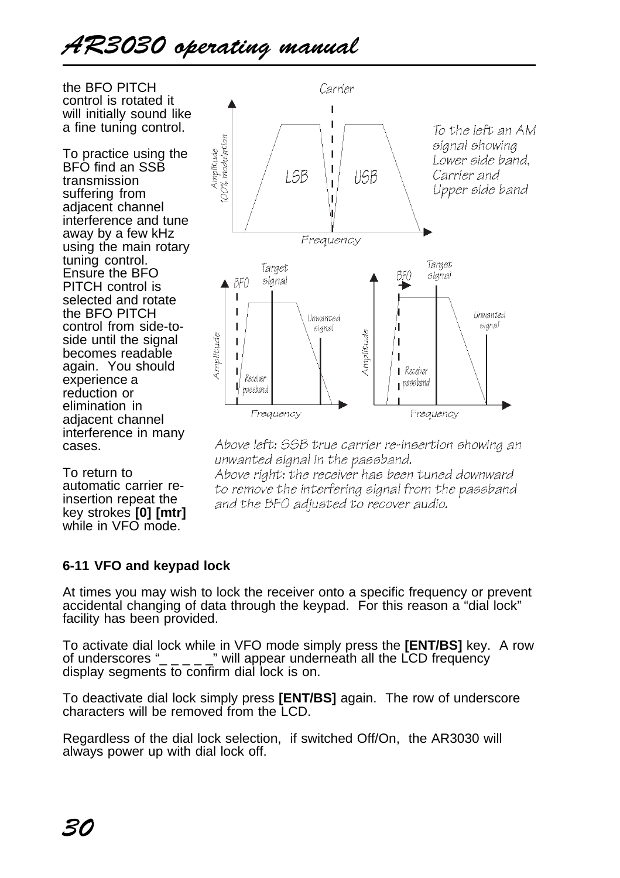# AR3030 operating manual

the BFO PITCH control is rotated it will initially sound like a fine tuning control.

To practice using the BFO find an SSB transmission suffering from adjacent channel interference and tune away by a few kHz using the main rotary tuning control. Ensure the BFO PITCH control is selected and rotate the BFO PITCH control from side-toside until the signal becomes readable again. You should experience a reduction or elimination in adjacent channel interference in many cases.

To return to automatic carrier reinsertion repeat the key strokes **[0] [mtr]** while in VFO mode.



Above left: SSB true carrier re-insertion showing an unwanted signal in the passband.

Above right: the receiver has been tuned downward to remove the interfering signal from the passband and the BFO adjusted to recover audio.

# **6-11 VFO and keypad lock**

At times you may wish to lock the receiver onto a specific frequency or prevent accidental changing of data through the keypad. For this reason a "dial lock" facility has been provided.

To activate dial lock while in VFO mode simply press the **[ENT/BS]** key. A row of underscores " $_{---}$ " will appear underneath all the LCD frequency display segments to confirm dial lock is on.

To deactivate dial lock simply press **[ENT/BS]** again. The row of underscore characters will be removed from the LCD.

Regardless of the dial lock selection, if switched Off/On, the AR3030 will always power up with dial lock off.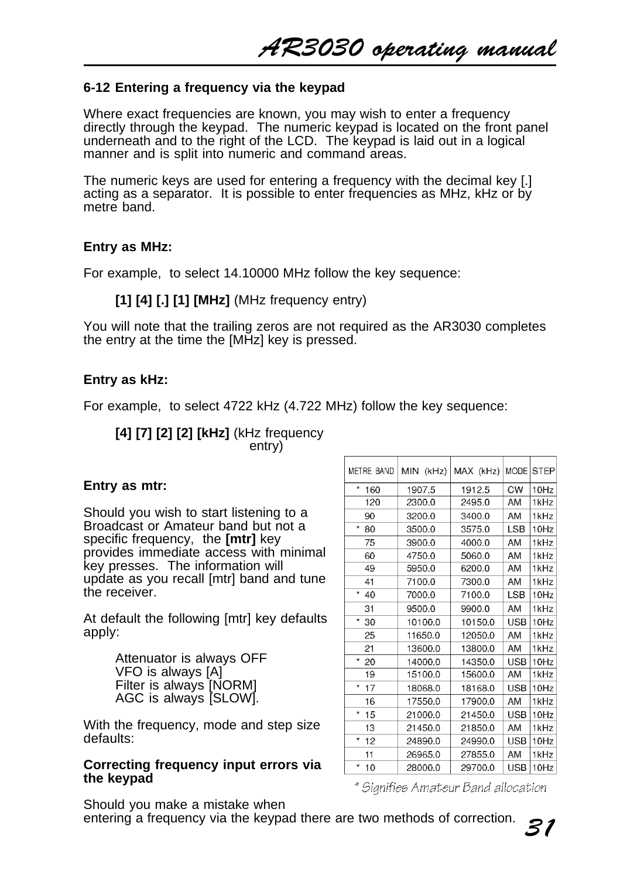AR3030 operating manual

#### **6-12 Entering a frequency via the keypad**

Where exact frequencies are known, you may wish to enter a frequency directly through the keypad. The numeric keypad is located on the front panel underneath and to the right of the LCD. The keypad is laid out in a logical manner and is split into numeric and command areas.

The numeric keys are used for entering a frequency with the decimal key [.] acting as a separator. It is possible to enter frequencies as MHz, kHz or by metre band.

#### **Entry as MHz:**

For example, to select 14.10000 MHz follow the key sequence:

#### **[1] [4] [.] [1] [MHz]** (MHz frequency entry)

You will note that the trailing zeros are not required as the AR3030 completes the entry at the time the [MHz] key is pressed.

#### **Entry as kHz:**

For example, to select 4722 kHz (4.722 MHz) follow the key sequence:

**[4] [7] [2] [2] [kHz]** (kHz frequency entry)

#### **Entry as mtr:**

Should you wish to start listening to a Broadcast or Amateur band but not a specific frequency, the **[mtr]** key provides immediate access with minimal key presses. The information will update as you recall [mtr] band and tune the receiver.

At default the following [mtr] key defaults apply:

> Attenuator is always OFF VFO is always [A] Filter is always [NORM] AGC is always [SLOW].

With the frequency, mode and step size defaults:

#### **Correcting frequency input errors via the keypad**

| METRE BAND     | MIN (kHz) | MAX (kHz) | MODE STEP          |
|----------------|-----------|-----------|--------------------|
| $\star$<br>160 | 1907.5    | 1912.5    | <b>CW</b><br>10Hz  |
| 120            | 2300.0    | 2495.0    | 1kHz<br>AM         |
| 90             | 3200.0    | 3400.0    | AM<br>1kHz         |
| $\star$<br>80  | 3500.0    | 3575.0    | <b>LSB</b><br>10Hz |
| 75             | 3900.0    | 4000.0    | AM<br>1kHz         |
| 60             | 4750.0    | 5060.0    | AM<br>1kHz         |
| 49             | 5950.0    | 6200.0    | AM<br>1kHz         |
| 41             | 7100.0    | 7300.0    | AM<br>1kHz         |
| ŵ<br>40        | 7000.0    | 7100.0    | LSB<br>10Hz        |
| 31             | 9500.0    | 9900.0    | AM<br>1kHz         |
| ₩<br>30        | 10100.0   | 10150.0   | <b>USB</b><br>10Hz |
| 25             | 11650.0   | 12050.0   | 1kHz<br>AM         |
| 21             | 13600.0   | 13800.0   | AM<br>1kHz         |
| *<br>20        | 14000.0   | 14350.0   | USB<br>10Hz        |
| 19             | 15100.0   | 15600.0   | AM<br>1kHz         |
| $\star$<br>17  | 18068.0   | 18168.0   | <b>USB</b><br>10Hz |
| 16             | 17550.0   | 17900.0   | AM<br>1kHz         |
| *<br>15        | 21000.0   | 21450.0   | USB<br>10Hz        |
| 13             | 21450.0   | 21850.0   | AM<br>1kHz         |
| ×<br>12        | 24890.0   | 24990.0   | USB<br>10Hz        |
| 11             | 26965.0   | 27855.0   | AM<br>1kHz         |
| ŵ<br>10        | 28000.0   | 29700.0   | USB<br>10Hz        |

\* Signifies Amateur Band allocation

Should you make a mistake when entering a frequency via the keypad there are two methods of correction.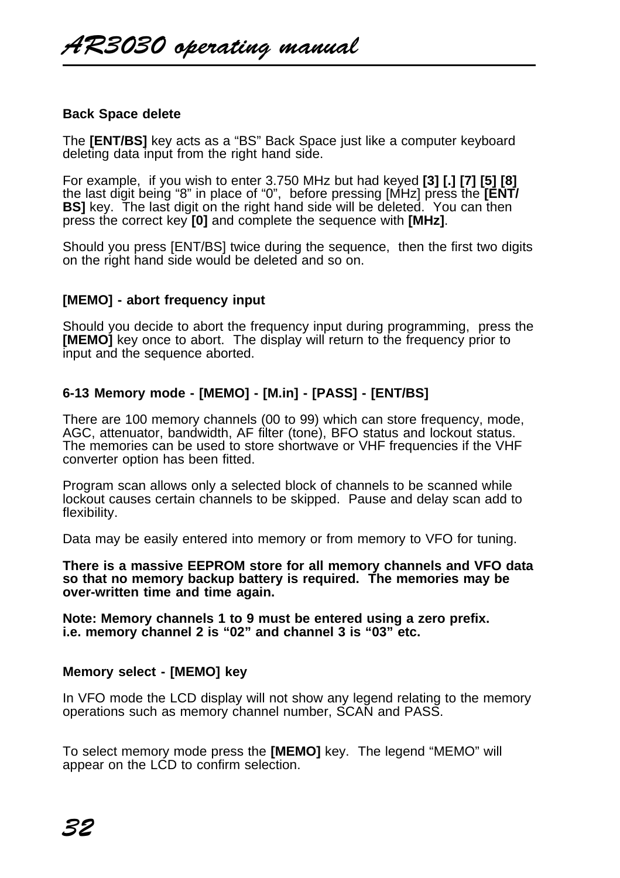#### **Back Space delete**

The **[ENT/BS]** key acts as a "BS" Back Space just like a computer keyboard deleting data input from the right hand side.

For example, if you wish to enter 3.750 MHz but had keyed **[3] [.] [7] [5] [8]** the last digit being "8" in place of "0", before pressing [MHz] press the **[ENT/ BSI** key. The last digit on the right hand side will be deleted. You can then press the correct key **[0]** and complete the sequence with **[MHz]**.

Should you press [ENT/BS] twice during the sequence, then the first two digits on the right hand side would be deleted and so on.

#### **[MEMO] - abort frequency input**

Should you decide to abort the frequency input during programming, press the **[MEMO]** key once to abort. The display will return to the frequency prior to input and the sequence aborted.

#### **6-13 Memory mode - [MEMO] - [M.in] - [PASS] - [ENT/BS]**

There are 100 memory channels (00 to 99) which can store frequency, mode, AGC, attenuator, bandwidth, AF filter (tone), BFO status and lockout status. The memories can be used to store shortwave or VHF frequencies if the VHF converter option has been fitted.

Program scan allows only a selected block of channels to be scanned while lockout causes certain channels to be skipped. Pause and delay scan add to flexibility.

Data may be easily entered into memory or from memory to VFO for tuning.

**There is a massive EEPROM store for all memory channels and VFO data so that no memory backup battery is required. The memories may be over-written time and time again.**

**Note: Memory channels 1 to 9 must be entered using a zero prefix. i.e. memory channel 2 is "02" and channel 3 is "03" etc.**

#### **Memory select - [MEMO] key**

In VFO mode the LCD display will not show any legend relating to the memory operations such as memory channel number, SCAN and PASS.

To select memory mode press the **[MEMO]** key. The legend "MEMO" will appear on the LCD to confirm selection.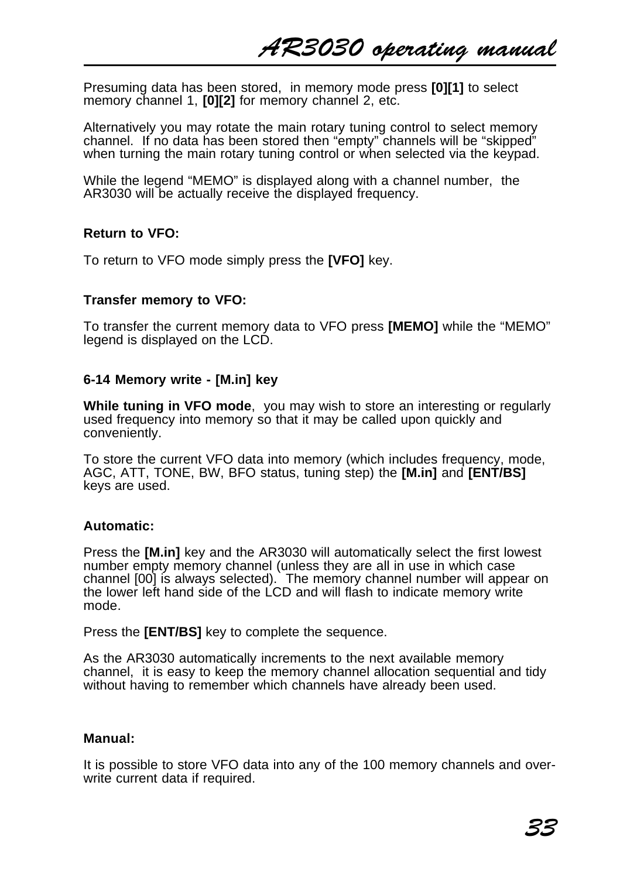Presuming data has been stored, in memory mode press **[0][1]** to select memory channel 1, **[0][2]** for memory channel 2, etc.

Alternatively you may rotate the main rotary tuning control to select memory channel. If no data has been stored then "empty" channels will be "skipped" when turning the main rotary tuning control or when selected via the keypad.

While the legend "MEMO" is displayed along with a channel number, the AR3030 will be actually receive the displayed frequency.

#### **Return to VFO:**

To return to VFO mode simply press the **[VFO]** key.

#### **Transfer memory to VFO:**

To transfer the current memory data to VFO press **[MEMO]** while the "MEMO" legend is displayed on the LCD.

#### **6-14 Memory write - [M.in] key**

**While tuning in VFO mode**, you may wish to store an interesting or regularly used frequency into memory so that it may be called upon quickly and conveniently.

To store the current VFO data into memory (which includes frequency, mode, AGC, ATT, TONE, BW, BFO status, tuning step) the **[M.in]** and **[ENT/BS]** keys are used.

#### **Automatic:**

Press the **[M.in]** key and the AR3030 will automatically select the first lowest number empty memory channel (unless they are all in use in which case channel [00] is always selected). The memory channel number will appear on the lower left hand side of the LCD and will flash to indicate memory write mode.

Press the **[ENT/BS]** key to complete the sequence.

As the AR3030 automatically increments to the next available memory channel, it is easy to keep the memory channel allocation sequential and tidy without having to remember which channels have already been used.

#### **Manual:**

It is possible to store VFO data into any of the 100 memory channels and overwrite current data if required.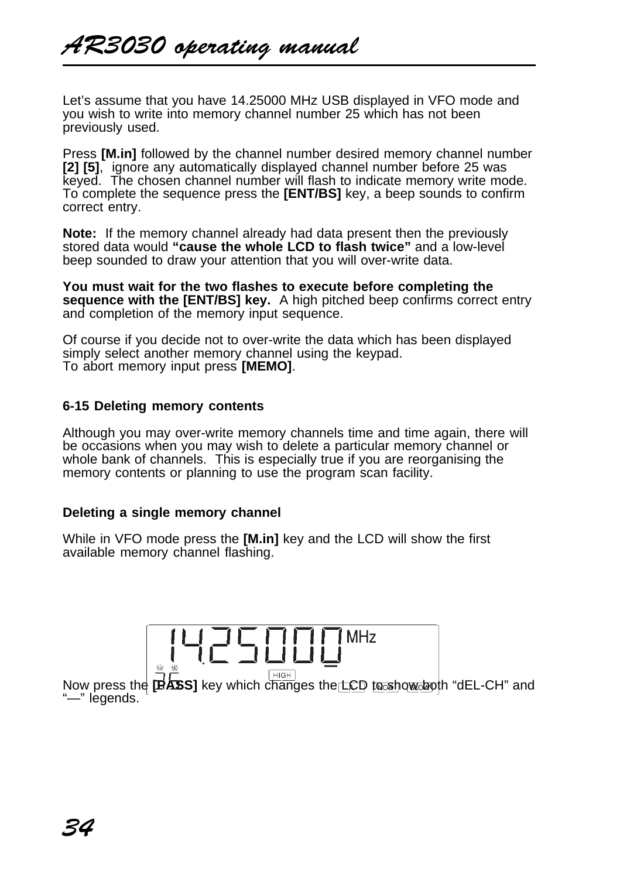Let's assume that you have 14.25000 MHz USB displayed in VFO mode and you wish to write into memory channel number 25 which has not been previously used.

Press **[M.in]** followed by the channel number desired memory channel number **[2] [5]**, ignore any automatically displayed channel number before 25 was keyed. The chosen channel number will flash to indicate memory write mode. To complete the sequence press the **[ENT/BS]** key, a beep sounds to confirm correct entry.

**Note:** If the memory channel already had data present then the previously stored data would **"cause the whole LCD to flash twice"** and a low-level beep sounded to draw your attention that you will over-write data.

**You must wait for the two flashes to execute before completing the sequence with the [ENT/BS] key.** A high pitched beep confirms correct entry and completion of the memory input sequence.

Of course if you decide not to over-write the data which has been displayed simply select another memory channel using the keypad. To abort memory input press **[MEMO]**.

#### **6-15 Deleting memory contents**

Although you may over-write memory channels time and time again, there will be occasions when you may wish to delete a particular memory channel or whole bank of channels. This is especially true if you are reorganising the memory contents or planning to use the program scan facility.

#### **Deleting a single memory channel**

While in VFO mode press the **[M.in]** key and the LCD will show the first available memory channel flashing.

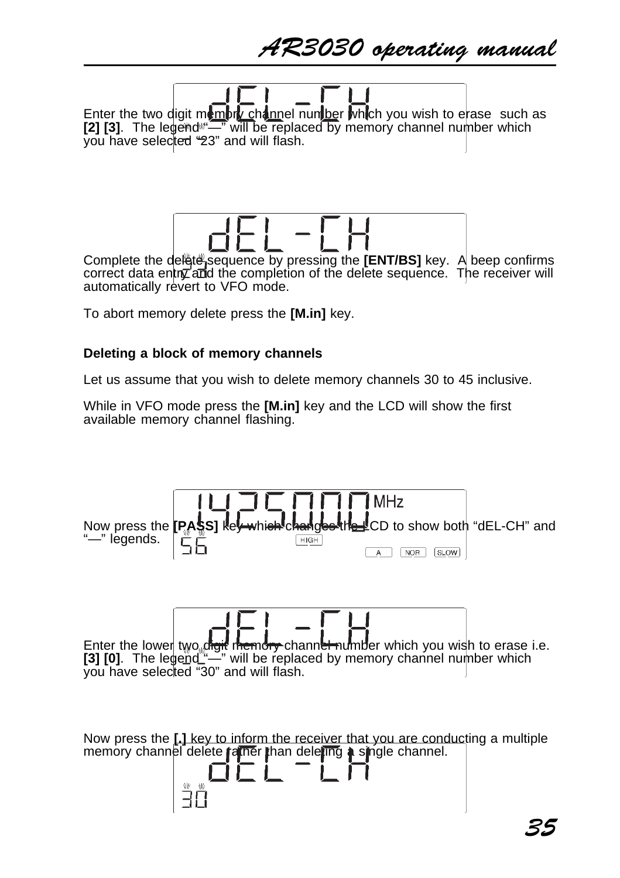AR3030 operating manual

Enter the two digit memory channel number which you wish to erase such as **[2] [3].** The legend  $\sqrt{2}$  will be replaced by memory channel number which you have selected "23" and will flash.

Complete the delate sequence by pressing the **[ENT/BS]** key. A beep confirms correct data entry and the completion of the delete sequence. The receiver will automatically revert to VFO mode.

To abort memory delete press the **[M.in]** key.

#### **Deleting a block of memory channels**

Let us assume that you wish to delete memory channels 30 to 45 inclusive.

While in VFO mode press the **[M.in]** key and the LCD will show the first available memory channel flashing.

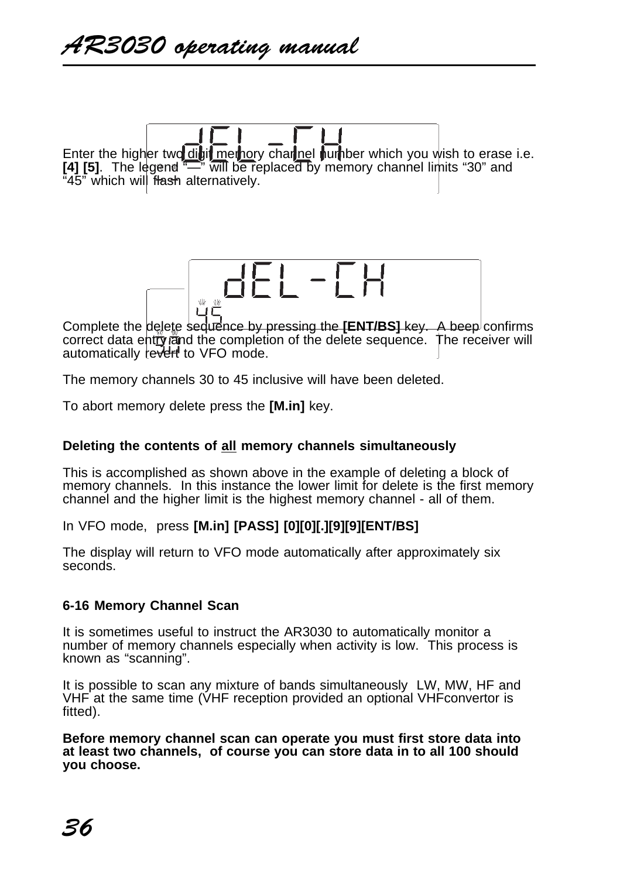Enter the higher two digit memory channel number which you wish to erase i.e. **[4] [5]**. The legend "—" will be replaced by memory channel limits "30" and "45" which will flash alternatively.



Complete the delete sequence by pressing the **[ENT/BS]** key. A beep confirms correct data entry rand the completion of the delete sequence. The receiver will automatically revert to VFO mode.

The memory channels 30 to 45 inclusive will have been deleted.

To abort memory delete press the **[M.in]** key.

#### **Deleting the contents of all memory channels simultaneously**

This is accomplished as shown above in the example of deleting a block of memory channels. In this instance the lower limit for delete is the first memory channel and the higher limit is the highest memory channel - all of them.

In VFO mode, press **[M.in] [PASS] [0][0][.][9][9][ENT/BS]**

The display will return to VFO mode automatically after approximately six seconds.

#### **6-16 Memory Channel Scan**

It is sometimes useful to instruct the AR3030 to automatically monitor a number of memory channels especially when activity is low. This process is known as "scanning".

It is possible to scan any mixture of bands simultaneously LW, MW, HF and VHF at the same time (VHF reception provided an optional VHFconvertor is fitted).

**Before memory channel scan can operate you must first store data into at least two channels, of course you can store data in to all 100 should you choose.**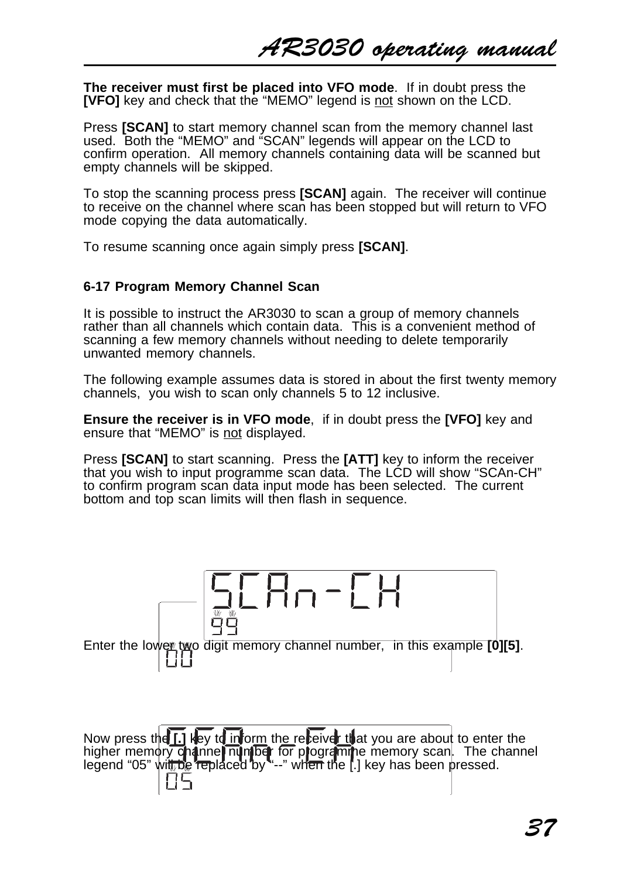**The receiver must first be placed into VFO mode**. If in doubt press the **[VFO]** key and check that the "MEMO" legend is not shown on the LCD.

Press **[SCAN]** to start memory channel scan from the memory channel last used. Both the "MEMO" and "SCAN" legends will appear on the LCD to confirm operation. All memory channels containing data will be scanned but empty channels will be skipped.

To stop the scanning process press **[SCAN]** again. The receiver will continue to receive on the channel where scan has been stopped but will return to VFO mode copying the data automatically.

To resume scanning once again simply press **[SCAN]**.

#### **6-17 Program Memory Channel Scan**

It is possible to instruct the AR3030 to scan a group of memory channels rather than all channels which contain data. This is a convenient method of scanning a few memory channels without needing to delete temporarily unwanted memory channels.

The following example assumes data is stored in about the first twenty memory channels, you wish to scan only channels 5 to 12 inclusive.

**Ensure the receiver is in VFO mode**, if in doubt press the **[VFO]** key and ensure that "MEMO" is not displayed.

Press **[SCAN]** to start scanning. Press the **[ATT]** key to inform the receiver that you wish to input programme scan data. The LCD will show "SCAn-CH" to confirm program scan data input mode has been selected. The current bottom and top scan limits will then flash in sequence.

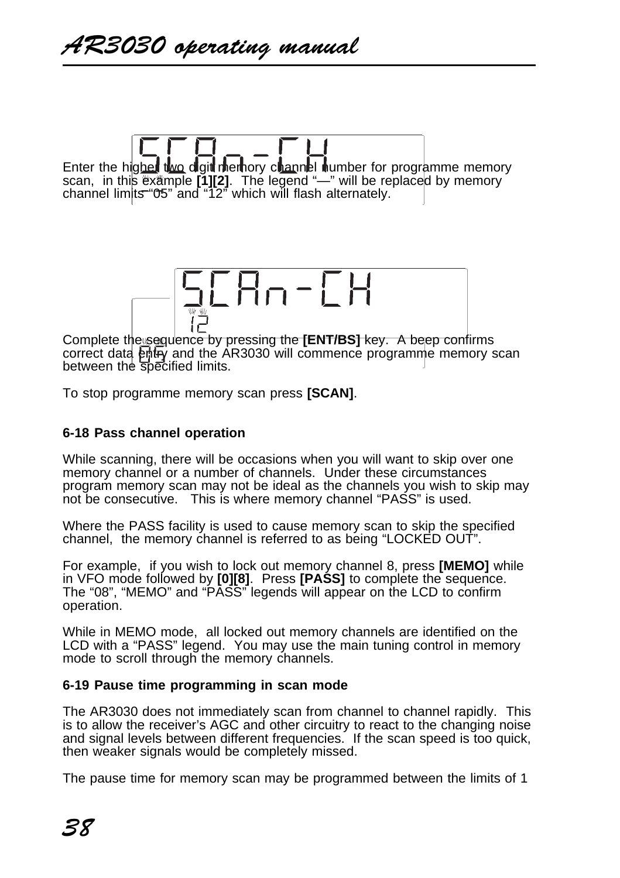Enter the higher two digit memory channel number for programme memory scan, in this example **[1][2]**. The legend "—" will be replaced by memory channel limits "05" and "12" which will flash alternately.



correct data entry and the AR3030 will commence programme memory scan between the specified limits.

To stop programme memory scan press **[SCAN]**.

#### **6-18 Pass channel operation**

While scanning, there will be occasions when you will want to skip over one memory channel or a number of channels. Under these circumstances program memory scan may not be ideal as the channels you wish to skip may not be consecutive. This is where memory channel "PASS" is used.

Where the PASS facility is used to cause memory scan to skip the specified channel, the memory channel is referred to as being "LOCKED OUT".

For example, if you wish to lock out memory channel 8, press **[MEMO]** while in VFO mode followed by **[0][8]**. Press **[PASS]** to complete the sequence. The "08", "MEMO" and "PASS" legends will appear on the LCD to confirm operation.

While in MEMO mode, all locked out memory channels are identified on the LCD with a "PASS" legend. You may use the main tuning control in memory mode to scroll through the memory channels.

#### **6-19 Pause time programming in scan mode**

The AR3030 does not immediately scan from channel to channel rapidly. This is to allow the receiver's AGC and other circuitry to react to the changing noise and signal levels between different frequencies. If the scan speed is too quick, then weaker signals would be completely missed.

The pause time for memory scan may be programmed between the limits of 1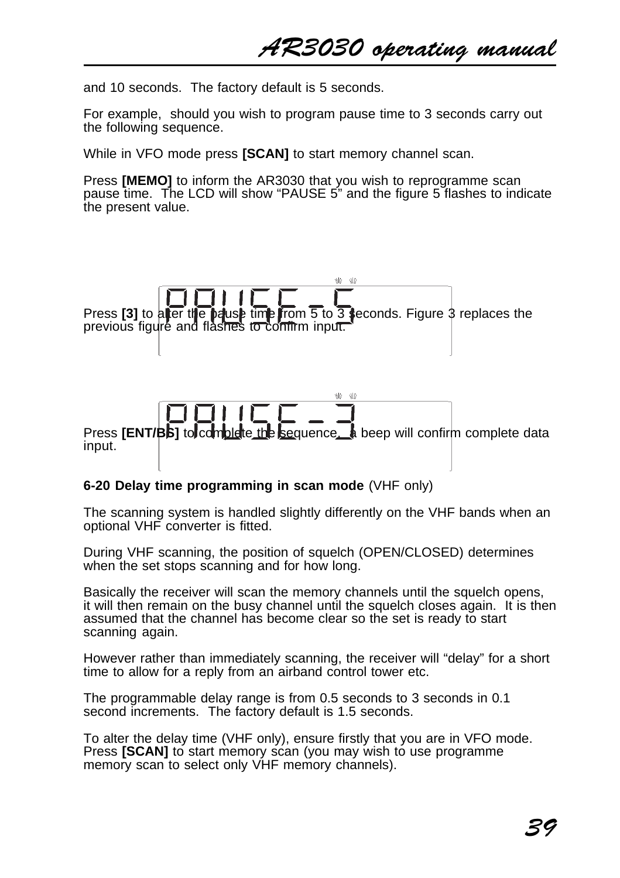AR3030 operating manual

and 10 seconds. The factory default is 5 seconds.

For example, should you wish to program pause time to 3 seconds carry out the following sequence.

While in VFO mode press **[SCAN]** to start memory channel scan.

Press **[MEMO]** to inform the AR3030 that you wish to reprogramme scan pause time. The LCD will show "PAUSE 5" and the figure 5 flashes to indicate the present value.



#### **6-20 Delay time programming in scan mode** (VHF only)

The scanning system is handled slightly differently on the VHF bands when an optional VHF converter is fitted.

During VHF scanning, the position of squelch (OPEN/CLOSED) determines when the set stops scanning and for how long.

Basically the receiver will scan the memory channels until the squelch opens, it will then remain on the busy channel until the squelch closes again. It is then assumed that the channel has become clear so the set is ready to start scanning again.

However rather than immediately scanning, the receiver will "delay" for a short time to allow for a reply from an airband control tower etc.

The programmable delay range is from 0.5 seconds to 3 seconds in 0.1 second increments. The factory default is 1.5 seconds.

To alter the delay time (VHF only), ensure firstly that you are in VFO mode. Press **[SCAN]** to start memory scan (you may wish to use programme memory scan to select only VHF memory channels).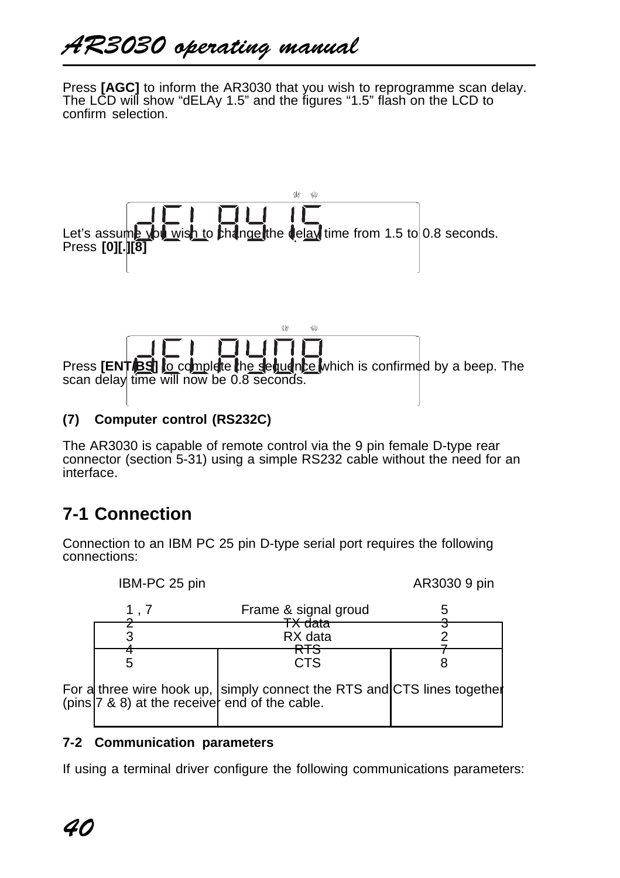Press **[AGC]** to inform the AR3030 that you wish to reprogramme scan delay. The LCD will show "dELAy 1.5" and the figures "1.5" flash on the LCD to confirm selection.



# **(7) Computer control (RS232C)**

The AR3030 is capable of remote control via the 9 pin female D-type rear connector (section 5-31) using a simple RS232 cable without the need for an interface.

# **7-1 Connection**

Connection to an IBM PC 25 pin D-type serial port requires the following connections:

| IBM-PC 25 pin |                                                                                                                        | AR3030 9 pin |
|---------------|------------------------------------------------------------------------------------------------------------------------|--------------|
|               | Frame & signal groud                                                                                                   |              |
|               | ⊼ uata<br>RX data                                                                                                      |              |
|               | <b>CTS</b>                                                                                                             |              |
|               | For a three wire hook up, simply connect the RTS and CTS lines together (pins 7 & 8) at the receiver end of the cable. |              |

# **7-2 Communication parameters**

If using a terminal driver configure the following communications parameters: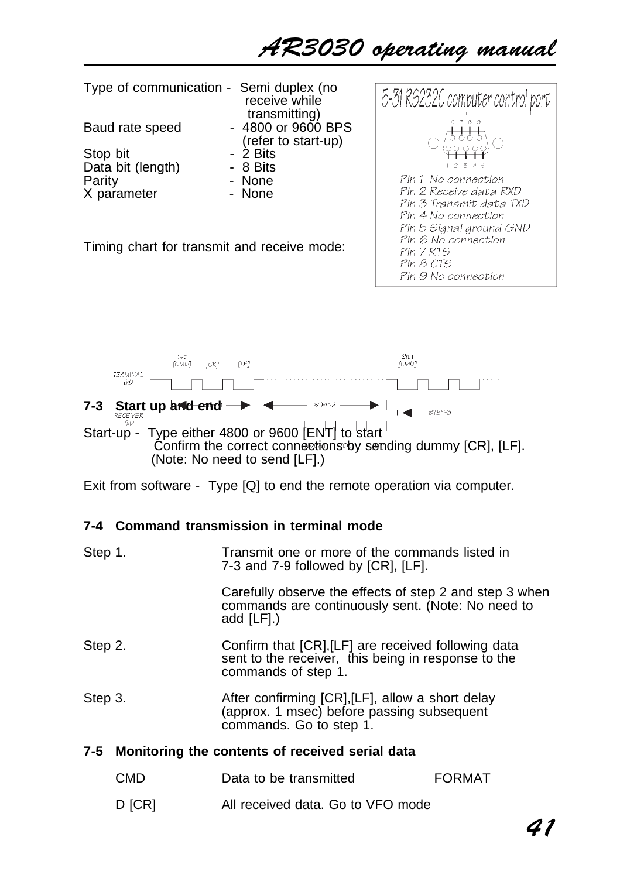# AR3030 operating manual

| Type of communication - Semi duplex (no     | receive while<br>transmitting)            | 5-31 RS232C computer control port                                         |
|---------------------------------------------|-------------------------------------------|---------------------------------------------------------------------------|
| Baud rate speed                             | - 4800 or 9600 BPS<br>(refer to start-up) | 6789                                                                      |
| Stop bit<br>Data bit (length)               | - 2 Bits<br>- 8 Bits                      | 3<br>45<br>2                                                              |
| Parity<br>X parameter                       | - None<br>- None                          | Pin 1 No connection<br>Pin 2 Receive data RXD                             |
|                                             |                                           | Pin 3 Transmit data TXD<br>Pin 4 No connection<br>Pin 5 Signal ground GND |
| Timing chart for transmit and receive mode: |                                           | Pin 6 No connection<br>Pin 7 RTS<br>Pin 8 CTS<br>Pin 9 No connection      |
|                                             |                                           |                                                                           |



Exit from software - Type [Q] to end the remote operation via computer.

# **7-4 Command transmission in terminal mode**

| Step 1. |  | Transmit one or more of the commands listed in<br>7-3 and 7-9 followed by [CR], [LF].                                             |
|---------|--|-----------------------------------------------------------------------------------------------------------------------------------|
|         |  | Carefully observe the effects of step 2 and step 3 when<br>commands are continuously sent. (Note: No need to<br>add [LF].)        |
| Step 2. |  | Confirm that [CR], [LF] are received following data<br>sent to the receiver, this being in response to the<br>commands of step 1. |
| Step 3. |  | After confirming [CR], [LF], allow a short delay<br>(approx. 1 msec) before passing subsequent<br>commands. Go to step 1.         |
|         |  | 7-5 Monitoring the contents of received serial data                                                                               |

| CMD    | Data to be transmitted            | <b>FORMAT</b> |
|--------|-----------------------------------|---------------|
| D [CR] | All received data. Go to VFO mode |               |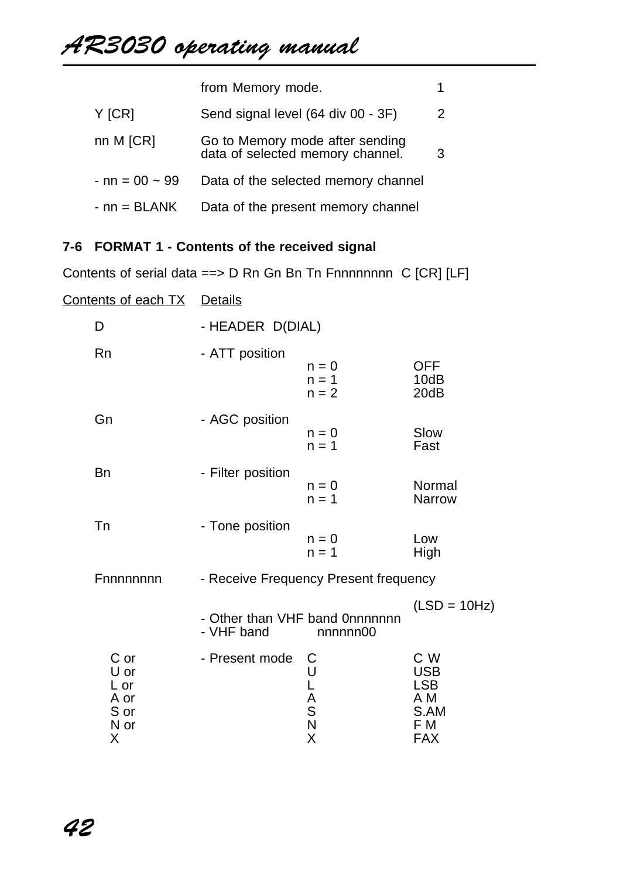# AR3030 operating manual

|                       | from Memory mode.                                                   |   |
|-----------------------|---------------------------------------------------------------------|---|
| $Y$ [CR]              | Send signal level (64 div 00 - 3F)                                  | 2 |
| nn M [CR]             | Go to Memory mode after sending<br>data of selected memory channel. | 3 |
| $-$ nn = 00 $\sim$ 99 | Data of the selected memory channel                                 |   |
| $-$ nn = BLANK        | Data of the present memory channel                                  |   |

# **7-6 FORMAT 1 - Contents of the received signal**

Contents of serial data ==> D Rn Gn Bn Tn Fnnnnnnnn C [CR] [LF]

| <u>Contents of each TX</u>                        | Details           |                                           |                                                                     |
|---------------------------------------------------|-------------------|-------------------------------------------|---------------------------------------------------------------------|
| D                                                 | - HEADER D(DIAL)  |                                           |                                                                     |
| Rn                                                | - ATT position    | $n = 0$<br>$n = 1$<br>$n = 2$             | <b>OFF</b><br>10dB<br>20dB                                          |
| Gn                                                | - AGC position    | $n = 0$<br>$n = 1$                        | Slow<br>Fast                                                        |
| Bn                                                | - Filter position | $n = 0$<br>$n = 1$                        | Normal<br>Narrow                                                    |
| Tn                                                | - Tone position   | $n = 0$<br>$n = 1$                        | Low<br>High                                                         |
| Fnnnnnnnn                                         |                   | - Receive Frequency Present frequency     |                                                                     |
|                                                   | - VHF band        | - Other than VHF band 0nnnnnnn<br>nnnnn00 | $(LSD = 10Hz)$                                                      |
| C or<br>U or<br>L or<br>A or<br>S or<br>N or<br>Χ | - Present mode    | С<br>ULASNX                               | C W<br><b>USB</b><br><b>LSB</b><br>A M<br>S.AM<br>F M<br><b>FAX</b> |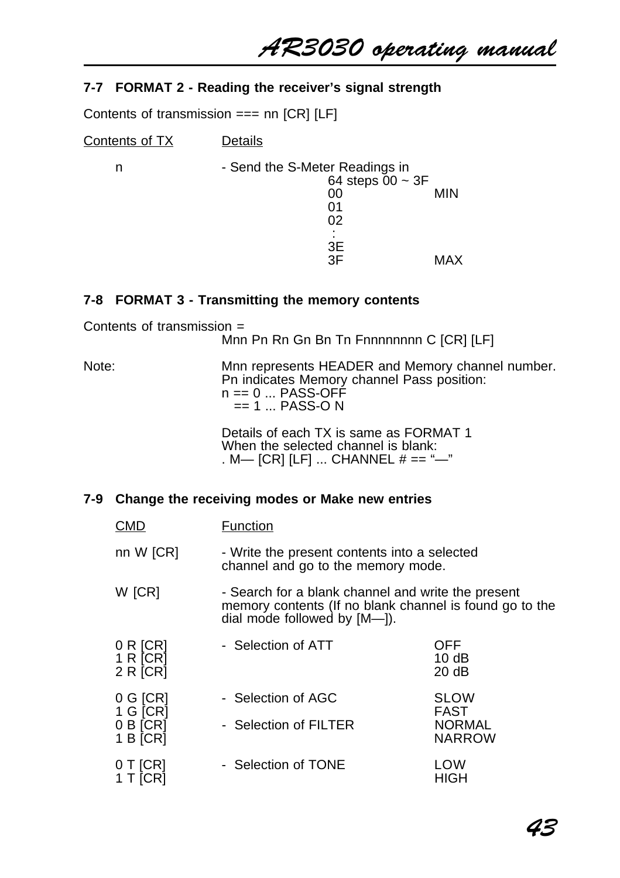AR3030 operating manual

#### **7-7 FORMAT 2 - Reading the receiver's signal strength**

Contents of transmission === nn [CR] [LF]

| Contents of TX | Details                                                                         |            |
|----------------|---------------------------------------------------------------------------------|------------|
| n              | - Send the S-Meter Readings in<br>64 steps $00 \sim 3F$<br>00<br>01<br>02<br>3E | <b>MIN</b> |
|                | 3F                                                                              | MAX        |

#### **7-8 FORMAT 3 - Transmitting the memory contents**

Contents of transmission = Mnn Pn Rn Gn Bn Tn Fnnnnnnnn C [CR] [LF] Note: Mnn represents HEADER and Memory channel number.

Pn indicates Memory channel Pass position: n == 0 ... PASS-OFF  $== 1$  ... PASS-O N

Details of each TX is same as FORMAT 1 When the selected channel is blank: . M— [CR] [LF] ... CHANNEL # == "-"

#### **7-9 Change the receiving modes or Make new entries**

| <b>CMD</b>                                       | Function                                                                                                                                         |                                                       |  |
|--------------------------------------------------|--------------------------------------------------------------------------------------------------------------------------------------------------|-------------------------------------------------------|--|
| nn W [CR]                                        | - Write the present contents into a selected<br>channel and go to the memory mode.                                                               |                                                       |  |
| W [CR]                                           | - Search for a blank channel and write the present<br>memory contents (If no blank channel is found go to the<br>dial mode followed by $[M-])$ . |                                                       |  |
| 0 R [CR]<br>1 R [CR]<br>2 R [CR]                 | - Selection of ATT                                                                                                                               | OFF<br>10dB<br>20 dB                                  |  |
| $0$ G $ CR $<br>1 G [CR]<br>0 B [CR]<br>1 B [CR] | - Selection of AGC<br>- Selection of FILTER                                                                                                      | <b>SLOW</b><br>FAST<br><b>NORMAL</b><br><b>NARROW</b> |  |
| 0 T [CR]<br>1 T [CR]                             | - Selection of TONE                                                                                                                              | LOW<br>HIGH                                           |  |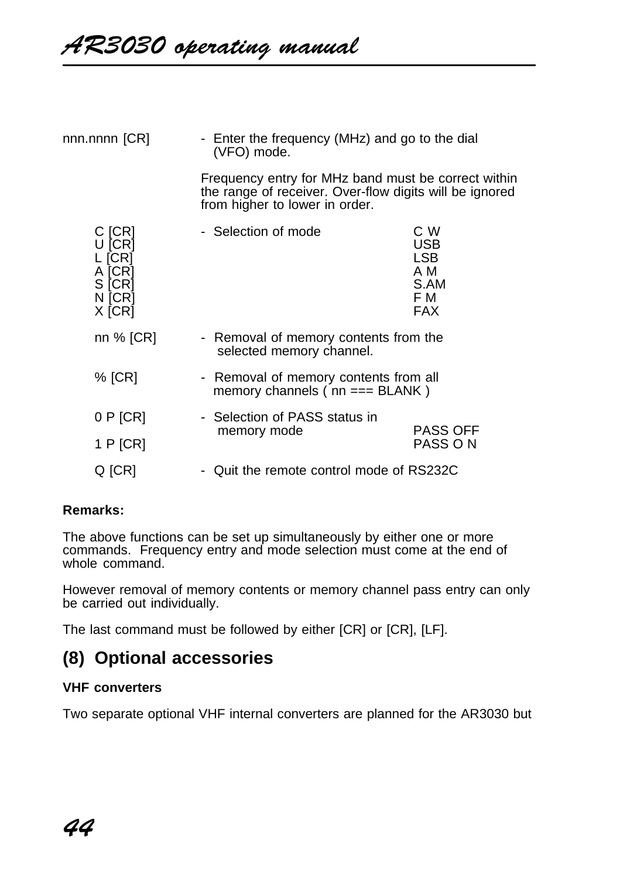| nnn.nnnn [CR]                                                      | (VFO) mode.                   | - Enter the frequency (MHz) and go to the dial                                                                                                   |  |  |
|--------------------------------------------------------------------|-------------------------------|--------------------------------------------------------------------------------------------------------------------------------------------------|--|--|
|                                                                    |                               | Frequency entry for MHz band must be correct within<br>the range of receiver. Over-flow digits will be ignored<br>from higher to lower in order. |  |  |
| C [CR]<br>U [CR]<br>L [CR]<br>A [CR]<br>S [CR]<br>N [CR]<br>X [CR] | - Selection of mode           | C W<br><b>USB</b><br><b>LSB</b><br>A M<br>S.AM<br>F M<br><b>FAX</b>                                                                              |  |  |
| nn % [CR]                                                          |                               | - Removal of memory contents from the<br>selected memory channel.                                                                                |  |  |
| $%$ [CR]                                                           |                               | - Removal of memory contents from all<br>memory channels $(nn == BLANK)$                                                                         |  |  |
| 0 P [CR]                                                           | - Selection of PASS status in |                                                                                                                                                  |  |  |
| 1 $P$ [CR]                                                         | memory mode                   | <b>PASS OFF</b><br>PASS ON                                                                                                                       |  |  |
| Q [CR]                                                             |                               | - Quit the remote control mode of RS232C                                                                                                         |  |  |

#### **Remarks:**

The above functions can be set up simultaneously by either one or more commands. Frequency entry and mode selection must come at the end of whole command.

However removal of memory contents or memory channel pass entry can only be carried out individually.

The last command must be followed by either [CR] or [CR], [LF].

# **(8) Optional accessories**

#### **VHF converters**

Two separate optional VHF internal converters are planned for the AR3030 but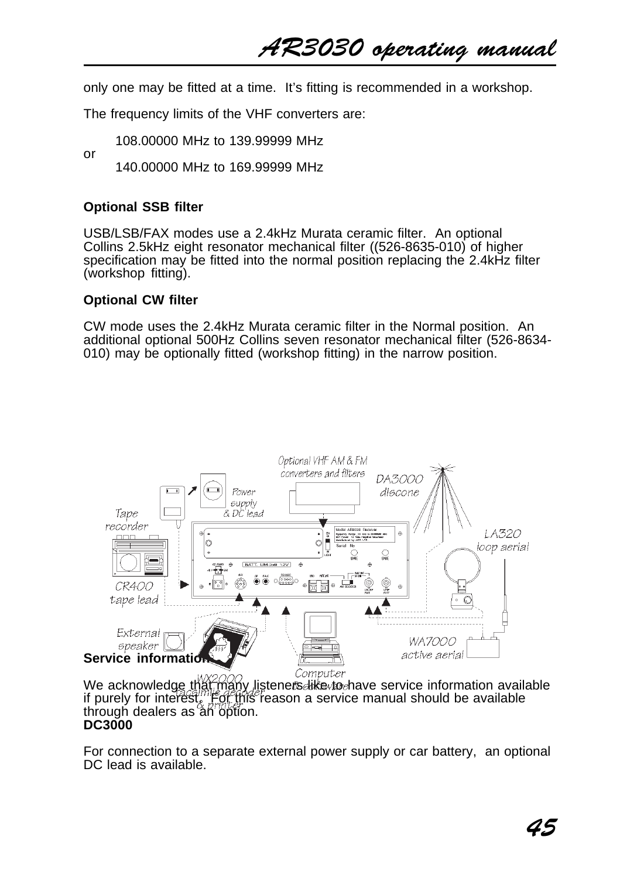AR3030 operating manual

only one may be fitted at a time. It's fitting is recommended in a workshop.

The frequency limits of the VHF converters are:

108.00000 MHz to 139.99999 MHz

140.00000 MHz to 169.99999 MHz

#### **Optional SSB filter**

or

USB/LSB/FAX modes use a 2.4kHz Murata ceramic filter. An optional Collins 2.5kHz eight resonator mechanical filter ((526-8635-010) of higher specification may be fitted into the normal position replacing the 2.4kHz filter (workshop fitting).

#### **Optional CW filter**

CW mode uses the 2.4kHz Murata ceramic filter in the Normal position. An additional optional 500Hz Collins seven resonator mechanical filter (526-8634- 010) may be optionally fitted (workshop fitting) in the narrow position.



We acknowledge that many listeners like to have service information available if purely for interest. For this reason a service manual should be available through dealers as an option. **DC3000**

For connection to a separate external power supply or car battery, an optional DC lead is available.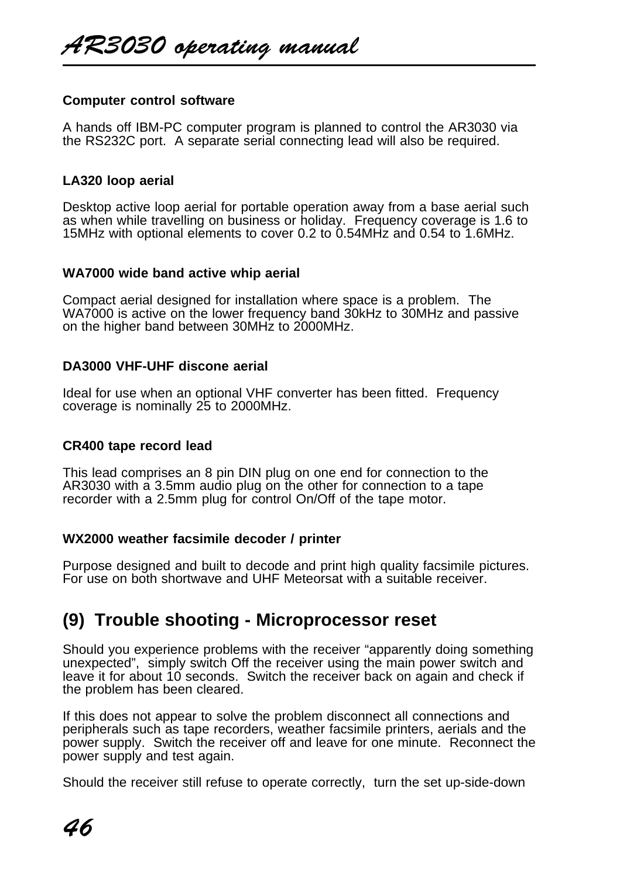#### **Computer control software**

A hands off IBM-PC computer program is planned to control the AR3030 via the RS232C port. A separate serial connecting lead will also be required.

#### **LA320 loop aerial**

Desktop active loop aerial for portable operation away from a base aerial such as when while travelling on business or holiday. Frequency coverage is 1.6 to 15MHz with optional elements to cover 0.2 to 0.54MHz and 0.54 to 1.6MHz.

#### **WA7000 wide band active whip aerial**

Compact aerial designed for installation where space is a problem. The WA7000 is active on the lower frequency band 30kHz to 30MHz and passive on the higher band between 30MHz to 2000MHz.

#### **DA3000 VHF-UHF discone aerial**

Ideal for use when an optional VHF converter has been fitted. Frequency coverage is nominally 25 to 2000MHz.

#### **CR400 tape record lead**

This lead comprises an 8 pin DIN plug on one end for connection to the AR3030 with a 3.5mm audio plug on the other for connection to a tape recorder with a 2.5mm plug for control On/Off of the tape motor.

#### **WX2000 weather facsimile decoder / printer**

Purpose designed and built to decode and print high quality facsimile pictures. For use on both shortwave and UHF Meteorsat with a suitable receiver.

# **(9) Trouble shooting - Microprocessor reset**

Should you experience problems with the receiver "apparently doing something unexpected", simply switch Off the receiver using the main power switch and leave it for about 10 seconds. Switch the receiver back on again and check if the problem has been cleared.

If this does not appear to solve the problem disconnect all connections and peripherals such as tape recorders, weather facsimile printers, aerials and the power supply. Switch the receiver off and leave for one minute. Reconnect the power supply and test again.

Should the receiver still refuse to operate correctly, turn the set up-side-down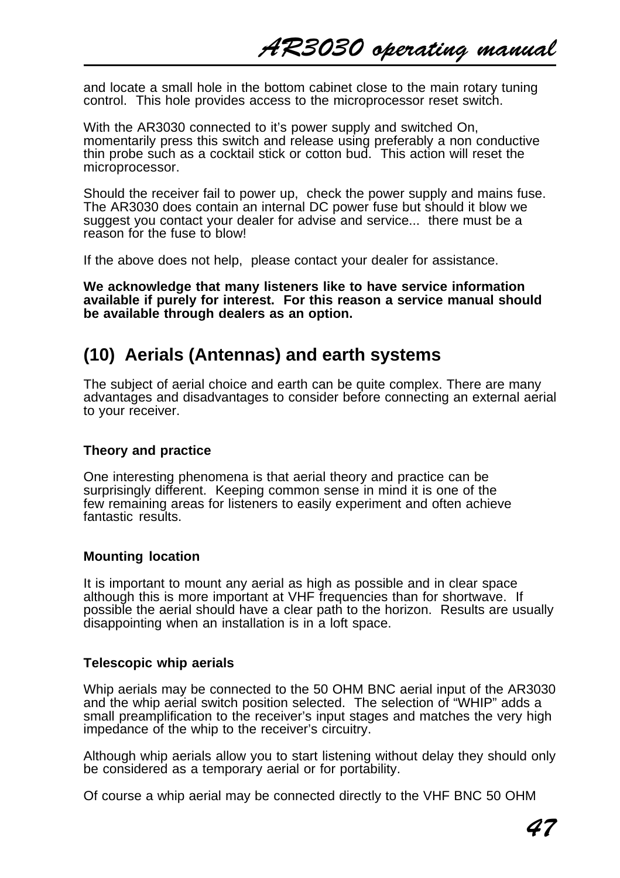and locate a small hole in the bottom cabinet close to the main rotary tuning control. This hole provides access to the microprocessor reset switch.

With the AR3030 connected to it's power supply and switched On, momentarily press this switch and release using preferably a non conductive thin probe such as a cocktail stick or cotton bud. This action will reset the microprocessor.

Should the receiver fail to power up, check the power supply and mains fuse. The AR3030 does contain an internal DC power fuse but should it blow we suggest you contact your dealer for advise and service... there must be a reason for the fuse to blow!

If the above does not help, please contact your dealer for assistance.

**We acknowledge that many listeners like to have service information available if purely for interest. For this reason a service manual should be available through dealers as an option.**

# **(10) Aerials (Antennas) and earth systems**

The subject of aerial choice and earth can be quite complex. There are many advantages and disadvantages to consider before connecting an external aerial to your receiver.

#### **Theory and practice**

One interesting phenomena is that aerial theory and practice can be surprisingly different. Keeping common sense in mind it is one of the few remaining areas for listeners to easily experiment and often achieve fantastic results.

#### **Mounting location**

It is important to mount any aerial as high as possible and in clear space although this is more important at VHF frequencies than for shortwave. If possible the aerial should have a clear path to the horizon. Results are usually disappointing when an installation is in a loft space.

#### **Telescopic whip aerials**

Whip aerials may be connected to the 50 OHM BNC aerial input of the AR3030 and the whip aerial switch position selected. The selection of "WHIP" adds a small preamplification to the receiver's input stages and matches the very high impedance of the whip to the receiver's circuitry.

Although whip aerials allow you to start listening without delay they should only be considered as a temporary aerial or for portability.

Of course a whip aerial may be connected directly to the VHF BNC 50 OHM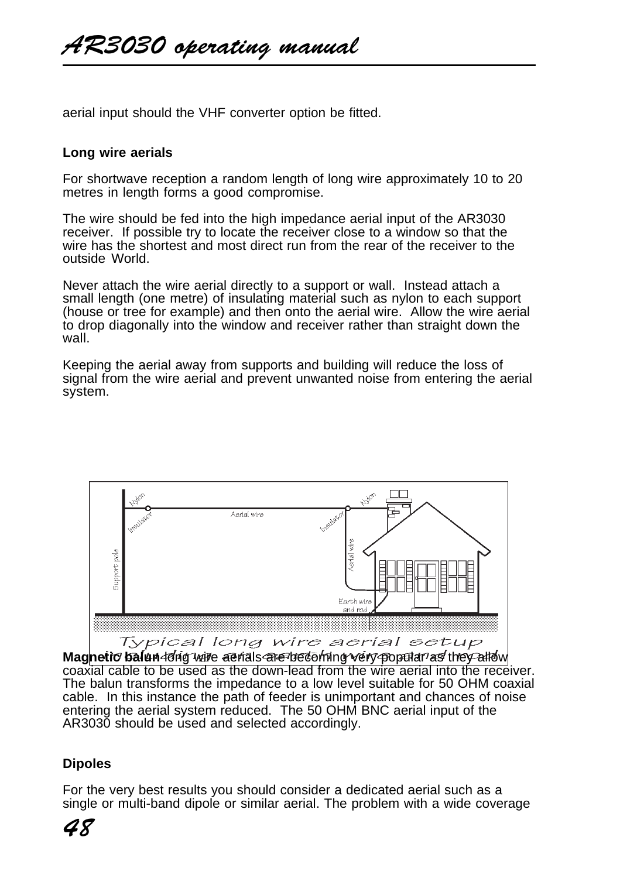aerial input should the VHF converter option be fitted.

#### **Long wire aerials**

For shortwave reception a random length of long wire approximately 10 to 20 metres in length forms a good compromise.

The wire should be fed into the high impedance aerial input of the AR3030 receiver. If possible try to locate the receiver close to a window so that the wire has the shortest and most direct run from the rear of the receiver to the outside World.

Never attach the wire aerial directly to a support or wall. Instead attach a small length (one metre) of insulating material such as nylon to each support (house or tree for example) and then onto the aerial wire. Allow the wire aerial to drop diagonally into the window and receiver rather than straight down the wall.

Keeping the aerial away from supports and building will reduce the loss of signal from the wire aerial and prevent unwanted noise from entering the aerial system.



Typical long wire aerial setup

**Magnetic balun dolig wire aerials are becoming very popular as they allow** coaxial cable to be used as the down-lead from the wire aerial into the receiver. The balun transforms the impedance to a low level suitable for 50 OHM coaxial cable. In this instance the path of feeder is unimportant and chances of noise entering the aerial system reduced. The 50 OHM BNC aerial input of the AR3030 should be used and selected accordingly.

# **Dipoles**

For the very best results you should consider a dedicated aerial such as a single or multi-band dipole or similar aerial. The problem with a wide coverage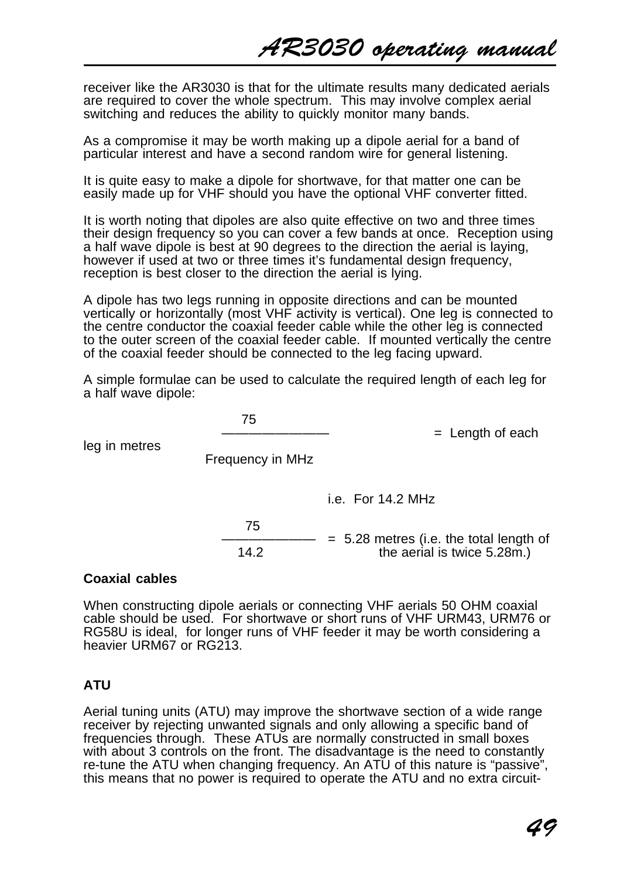receiver like the AR3030 is that for the ultimate results many dedicated aerials are required to cover the whole spectrum. This may involve complex aerial switching and reduces the ability to quickly monitor many bands.

As a compromise it may be worth making up a dipole aerial for a band of particular interest and have a second random wire for general listening.

It is quite easy to make a dipole for shortwave, for that matter one can be easily made up for VHF should you have the optional VHF converter fitted.

It is worth noting that dipoles are also quite effective on two and three times their design frequency so you can cover a few bands at once. Reception using a half wave dipole is best at 90 degrees to the direction the aerial is laying, however if used at two or three times it's fundamental design frequency, reception is best closer to the direction the aerial is lying.

A dipole has two legs running in opposite directions and can be mounted vertically or horizontally (most VHF activity is vertical). One leg is connected to the centre conductor the coaxial feeder cable while the other leg is connected to the outer screen of the coaxial feeder cable. If mounted vertically the centre of the coaxial feeder should be connected to the leg facing upward.

A simple formulae can be used to calculate the required length of each leg for a half wave dipole:

 75  $=$  Length of each leg in metres Frequency in MHz i.e. For 14.2 MHz 75  $\frac{\text{SUSY}}{\text{SUSY}} = 5.28 \text{ metres (i.e. the total length of the serial is twice } 5.28 \text{ m}$ . the aerial is twice  $5.28m$ .)

#### **Coaxial cables**

When constructing dipole aerials or connecting VHF aerials 50 OHM coaxial cable should be used. For shortwave or short runs of VHF URM43, URM76 or RG58U is ideal, for longer runs of VHF feeder it may be worth considering a heavier URM67 or RG213.

#### **ATU**

Aerial tuning units (ATU) may improve the shortwave section of a wide range receiver by rejecting unwanted signals and only allowing a specific band of frequencies through. These ATUs are normally constructed in small boxes with about 3 controls on the front. The disadvantage is the need to constantly re-tune the ATU when changing frequency. An ATU of this nature is "passive", this means that no power is required to operate the ATU and no extra circuit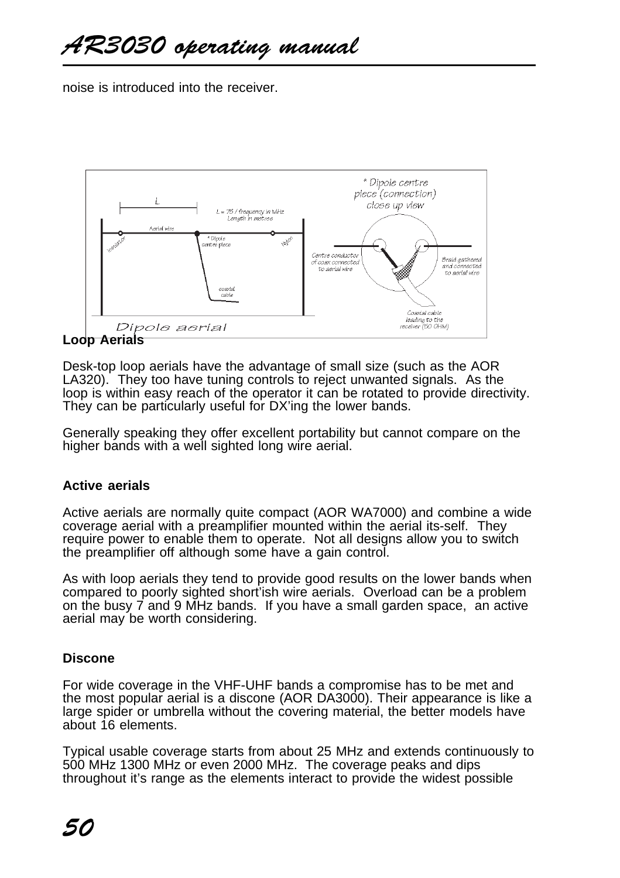noise is introduced into the receiver.



# **Loop Aerials**

Desk-top loop aerials have the advantage of small size (such as the AOR LA320). They too have tuning controls to reject unwanted signals. As the loop is within easy reach of the operator it can be rotated to provide directivity. They can be particularly useful for DX'ing the lower bands.

Generally speaking they offer excellent portability but cannot compare on the higher bands with a well sighted long wire aerial.

#### **Active aerials**

Active aerials are normally quite compact (AOR WA7000) and combine a wide coverage aerial with a preamplifier mounted within the aerial its-self. They require power to enable them to operate. Not all designs allow you to switch the preamplifier off although some have a gain control.

As with loop aerials they tend to provide good results on the lower bands when compared to poorly sighted short'ish wire aerials. Overload can be a problem on the busy 7 and 9 MHz bands. If you have a small garden space, an active aerial may be worth considering.

# **Discone**

For wide coverage in the VHF-UHF bands a compromise has to be met and the most popular aerial is a discone (AOR DA3000). Their appearance is like a large spider or umbrella without the covering material, the better models have about 16 elements.

Typical usable coverage starts from about 25 MHz and extends continuously to 500 MHz 1300 MHz or even 2000 MHz. The coverage peaks and dips throughout it's range as the elements interact to provide the widest possible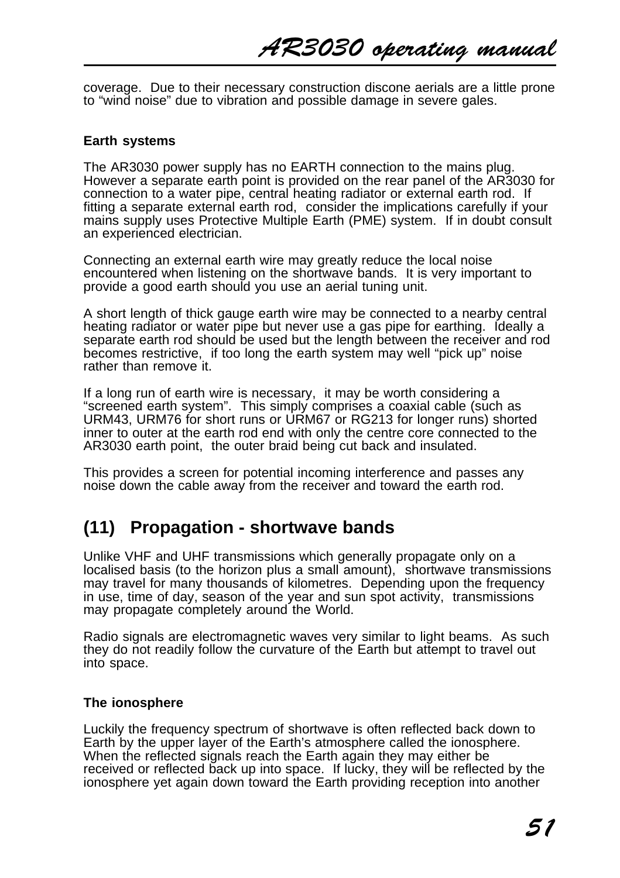coverage. Due to their necessary construction discone aerials are a little prone to "wind noise" due to vibration and possible damage in severe gales.

#### **Earth systems**

The AR3030 power supply has no EARTH connection to the mains plug. However a separate earth point is provided on the rear panel of the AR3030 for connection to a water pipe, central heating radiator or external earth rod. If fitting a separate external earth rod, consider the implications carefully if your mains supply uses Protective Multiple Earth (PME) system. If in doubt consult an experienced electrician.

Connecting an external earth wire may greatly reduce the local noise encountered when listening on the shortwave bands. It is very important to provide a good earth should you use an aerial tuning unit.

A short length of thick gauge earth wire may be connected to a nearby central heating radiator or water pipe but never use a gas pipe for earthing. Ideally a separate earth rod should be used but the length between the receiver and rod becomes restrictive, if too long the earth system may well "pick up" noise rather than remove it.

If a long run of earth wire is necessary, it may be worth considering a "screened earth system". This simply comprises a coaxial cable (such as URM43, URM76 for short runs or URM67 or RG213 for longer runs) shorted inner to outer at the earth rod end with only the centre core connected to the AR3030 earth point, the outer braid being cut back and insulated.

This provides a screen for potential incoming interference and passes any noise down the cable away from the receiver and toward the earth rod.

# **(11) Propagation - shortwave bands**

Unlike VHF and UHF transmissions which generally propagate only on a localised basis (to the horizon plus a small amount), shortwave transmissions may travel for many thousands of kilometres. Depending upon the frequency in use, time of day, season of the year and sun spot activity, transmissions may propagate completely around the World.

Radio signals are electromagnetic waves very similar to light beams. As such they do not readily follow the curvature of the Earth but attempt to travel out into space.

#### **The ionosphere**

Luckily the frequency spectrum of shortwave is often reflected back down to Earth by the upper layer of the Earth's atmosphere called the ionosphere. When the reflected signals reach the Earth again they may either be received or reflected back up into space. If lucky, they will be reflected by the ionosphere yet again down toward the Earth providing reception into another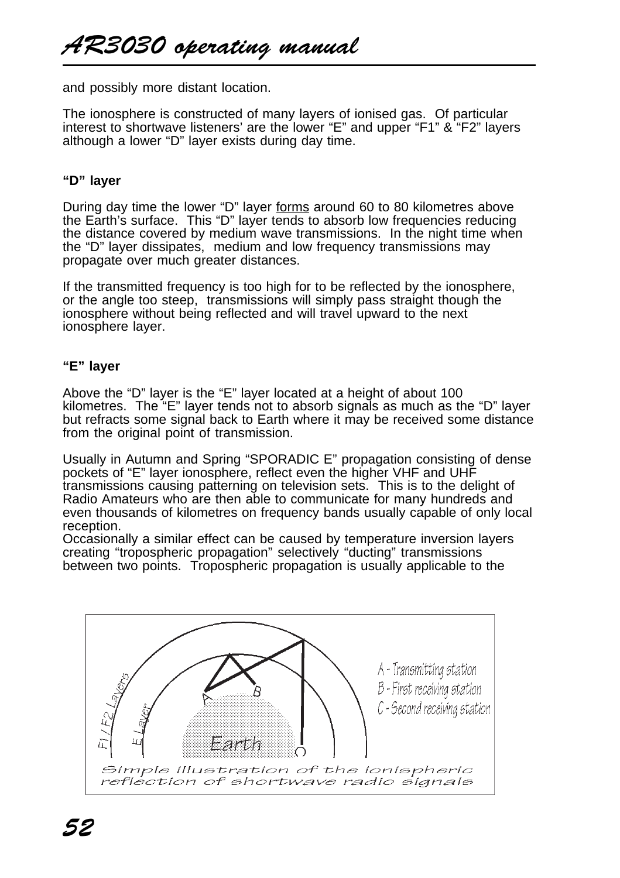and possibly more distant location.

The ionosphere is constructed of many layers of ionised gas. Of particular interest to shortwave listeners' are the lower "E" and upper "F1" & "F2" layers although a lower "D" layer exists during day time.

#### **"D" layer**

During day time the lower "D" layer forms around 60 to 80 kilometres above the Earth's surface. This "D" layer tends to absorb low frequencies reducing the distance covered by medium wave transmissions. In the night time when the "D" layer dissipates, medium and low frequency transmissions may propagate over much greater distances.

If the transmitted frequency is too high for to be reflected by the ionosphere, or the angle too steep, transmissions will simply pass straight though the ionosphere without being reflected and will travel upward to the next ionosphere layer.

#### **"E" layer**

Above the "D" layer is the "E" layer located at a height of about 100 kilometres. The "E" layer tends not to absorb signals as much as the "D" layer but refracts some signal back to Earth where it may be received some distance from the original point of transmission.

Usually in Autumn and Spring "SPORADIC E" propagation consisting of dense pockets of "E" layer ionosphere, reflect even the higher VHF and UHF transmissions causing patterning on television sets. This is to the delight of Radio Amateurs who are then able to communicate for many hundreds and even thousands of kilometres on frequency bands usually capable of only local reception.

Occasionally a similar effect can be caused by temperature inversion layers creating "tropospheric propagation" selectively "ducting" transmissions between two points. Tropospheric propagation is usually applicable to the

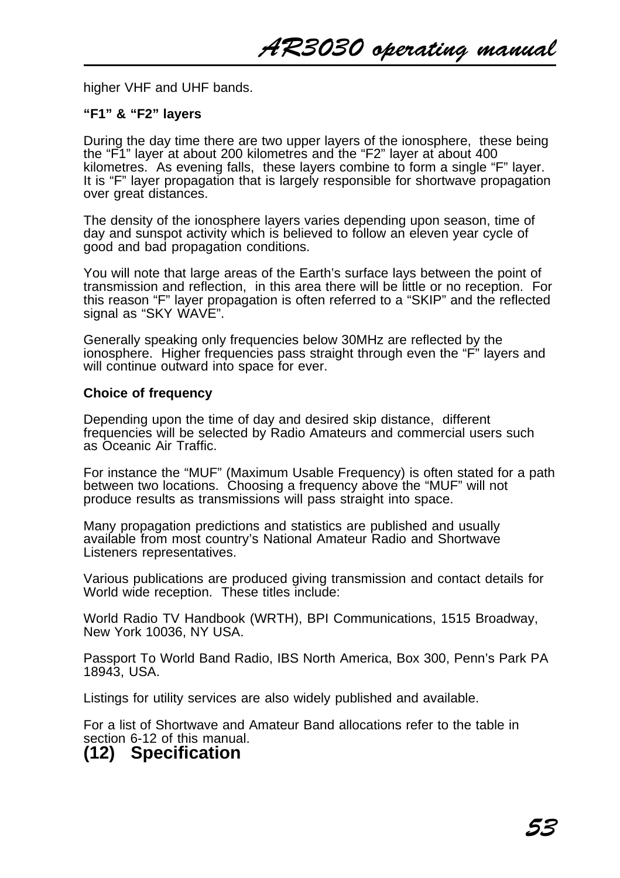higher VHF and UHF bands.

#### **"F1" & "F2" layers**

During the day time there are two upper layers of the ionosphere, these being the "F1" layer at about 200 kilometres and the "F2" layer at about 400 kilometres. As evening falls, these layers combine to form a single "F" layer. It is "F" layer propagation that is largely responsible for shortwave propagation over great distances.

The density of the ionosphere layers varies depending upon season, time of day and sunspot activity which is believed to follow an eleven year cycle of good and bad propagation conditions.

You will note that large areas of the Earth's surface lays between the point of transmission and reflection, in this area there will be little or no reception. For this reason "F" layer propagation is often referred to a "SKIP" and the reflected signal as "SKY WAVE".

Generally speaking only frequencies below 30MHz are reflected by the ionosphere. Higher frequencies pass straight through even the "F" layers and will continue outward into space for ever.

#### **Choice of frequency**

Depending upon the time of day and desired skip distance, different frequencies will be selected by Radio Amateurs and commercial users such as Oceanic Air Traffic.

For instance the "MUF" (Maximum Usable Frequency) is often stated for a path between two locations. Choosing a frequency above the "MUF" will not produce results as transmissions will pass straight into space.

Many propagation predictions and statistics are published and usually available from most country's National Amateur Radio and Shortwave Listeners representatives.

Various publications are produced giving transmission and contact details for World wide reception. These titles include:

World Radio TV Handbook (WRTH), BPI Communications, 1515 Broadway, New York 10036, NY USA.

Passport To World Band Radio, IBS North America, Box 300, Penn's Park PA 18943, USA.

Listings for utility services are also widely published and available.

For a list of Shortwave and Amateur Band allocations refer to the table in section 6-12 of this manual.

# **(12) Specification**